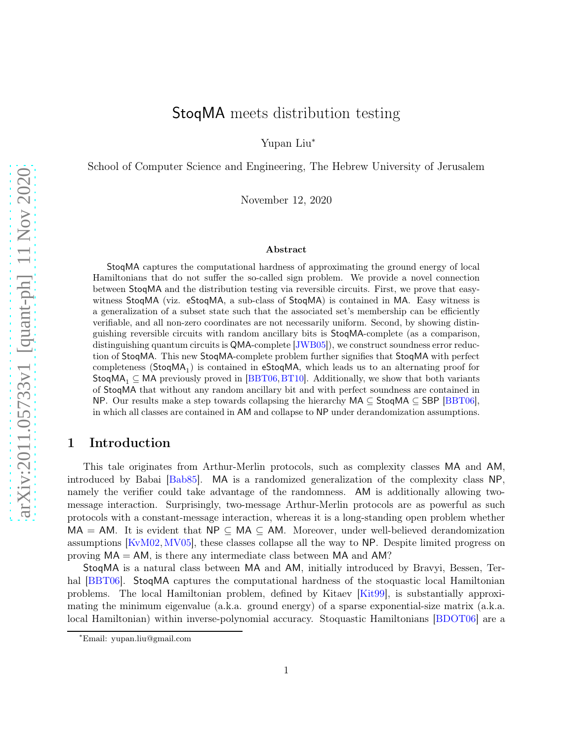# StoqMA meets distribution testing

Yupan Liu<sup>∗</sup>

School of Computer Science and Engineering, The Hebrew University of Jerusalem

November 12, 2020

#### Abstract

StoqMA captures the computational hardness of approximating the ground energy of local Hamiltonians that do not suffer the so-called sign problem. We provide a novel connection between StoqMA and the distribution testing via reversible circuits. First, we prove that easywitness StoqMA (viz. eStoqMA, a sub-class of StoqMA) is contained in MA. Easy witness is a generalization of a subset state such that the associated set's membership can be efficiently verifiable, and all non-zero coordinates are not necessarily uniform. Second, by showing distinguishing reversible circuits with random ancillary bits is StoqMA-complete (as a comparison, distinguishing quantum circuits is QMA-complete [\[JWB05\]](#page-20-0)), we construct soundness error reduction of StoqMA. This new StoqMA-complete problem further signifies that StoqMA with perfect  $\mathsf{completeness}\ (\mathsf{StoqMA}_1)$  is contained in  $\mathsf{eStoqMA}$ , which leads us to an alternating proof for StoqMA<sub>1</sub>  $\subseteq$  MA previously proved in [\[BBT06,](#page-18-0) [BT10\]](#page-19-0). Additionally, we show that both variants of StoqMA that without any random ancillary bit and with perfect soundness are contained in NP. Our results make a step towards collapsing the hierarchy  $MA \subseteq StopMA \subseteq SBP$  [\[BBT06\]](#page-18-0), in which all classes are contained in AM and collapse to NP under derandomization assumptions.

# 1 Introduction

This tale originates from Arthur-Merlin protocols, such as complexity classes MA and AM, introduced by Babai [\[Bab85\]](#page-18-1). MA is a randomized generalization of the complexity class NP, namely the verifier could take advantage of the randomness. AM is additionally allowing twomessage interaction. Surprisingly, two-message Arthur-Merlin protocols are as powerful as such protocols with a constant-message interaction, whereas it is a long-standing open problem whether  $MA = AM$ . It is evident that  $NP \subseteq MA \subseteq AM$ . Moreover, under well-believed derandomization assumptions [\[KvM02,](#page-20-1)[MV05\]](#page-20-2), these classes collapse all the way to NP. Despite limited progress on proving  $MA = AM$ , is there any intermediate class between  $MA$  and  $AM$ ?

StoqMA is a natural class between MA and AM, initially introduced by Bravyi, Bessen, Ter-hal [\[BBT06\]](#page-18-0). StoqMA captures the computational hardness of the stoquastic local Hamiltonian problems. The local Hamiltonian problem, defined by Kitaev [\[Kit99\]](#page-20-3), is substantially approximating the minimum eigenvalue (a.k.a. ground energy) of a sparse exponential-size matrix (a.k.a. local Hamiltonian) within inverse-polynomial accuracy. Stoquastic Hamiltonians [\[BDOT06\]](#page-18-2) are a

<sup>∗</sup>Email: yupan.liu@gmail.com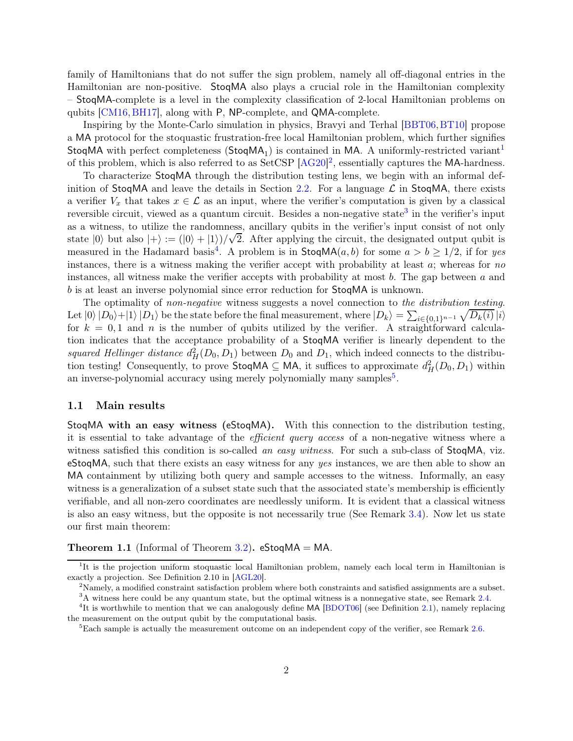family of Hamiltonians that do not suffer the sign problem, namely all off-diagonal entries in the Hamiltonian are non-positive. StoqMA also plays a crucial role in the Hamiltonian complexity – StoqMA-complete is a level in the complexity classification of 2-local Hamiltonian problems on qubits [\[CM16,](#page-19-1)[BH17\]](#page-18-3), along with P, NP-complete, and QMA-complete.

Inspiring by the Monte-Carlo simulation in physics, Bravyi and Terhal [\[BBT06,](#page-18-0)[BT10\]](#page-19-0) propose a MA protocol for the stoquastic frustration-free local Hamiltonian problem, which further signifies StoqMA with perfect completeness ( $\text{StoqMA}_1$  $\text{StoqMA}_1$ ) is contained in MA. A uniformly-restricted variant<sup>1</sup> of this problem, which is also referred to as SetCSP [\[AG20\]](#page-18-4)<sup>[2](#page-1-1)</sup>, essentially captures the MA-hardness.

To characterize StoqMA through the distribution testing lens, we begin with an informal def-inition of StoqMA and leave the details in Section [2.2.](#page-6-0) For a language  $\mathcal L$  in StoqMA, there exists a verifier  $V_x$  that takes  $x \in \mathcal{L}$  as an input, where the verifier's computation is given by a classical reversible circuit, viewed as a quantum circuit. Besides a non-negative state<sup>[3](#page-1-2)</sup> in the verifier's input as a witness, to utilize the randomness, ancillary qubits in the verifier's input consist of not only state  $|0\rangle$  but also  $|+\rangle := (|0\rangle + |1\rangle)/\sqrt{2}$ . After applying the circuit, the designated output qubit is measured in the Hadamard basis<sup>[4](#page-1-3)</sup>. A problem is in  $\text{StoqMA}(a, b)$  for some  $a > b \ge 1/2$ , if for yes instances, there is a witness making the verifier accept with probability at least  $a$ ; whereas for no instances, all witness make the verifier accepts with probability at most  $b$ . The gap between  $a$  and b is at least an inverse polynomial since error reduction for StoqMA is unknown.

The optimality of non-negative witness suggests a novel connection to the distribution testing. Let  $|0\rangle |D_0\rangle + |1\rangle |D_1\rangle$  be the state before the final measurement, where  $|D_k\rangle = \sum_{i \in \{0,1\}^{n-1}} \sqrt{D_k(i)} |i\rangle$ for  $k = 0, 1$  and n is the number of qubits utilized by the verifier. A straightforward calculation indicates that the acceptance probability of a StoqMA verifier is linearly dependent to the squared Hellinger distance  $d_H^2(D_0, D_1)$  between  $D_0$  and  $D_1$ , which indeed connects to the distribution testing! Consequently, to prove  $\textsf{StoqMA} \subseteq \textsf{MA}$ , it suffices to approximate  $d_H^2(D_0, D_1)$  within an inverse-polynomial accuracy using merely polynomially many samples<sup>[5](#page-1-4)</sup>.

#### 1.1 Main results

StoqMA with an easy witness (eStoqMA). With this connection to the distribution testing, it is essential to take advantage of the efficient query access of a non-negative witness where a witness satisfied this condition is so-called an easy witness. For such a sub-class of StoqMA, viz. eStoqMA, such that there exists an easy witness for any yes instances, we are then able to show an MA containment by utilizing both query and sample accesses to the witness. Informally, an easy witness is a generalization of a subset state such that the associated state's membership is efficiently verifiable, and all non-zero coordinates are needlessly uniform. It is evident that a classical witness is also an easy witness, but the opposite is not necessarily true (See Remark [3.4\)](#page-8-0). Now let us state our first main theorem:

<span id="page-1-5"></span>**Theorem 1.1** (Informal of Theorem [3.2\)](#page-8-1). eStoqMA = MA.

<sup>&</sup>lt;sup>1</sup>It is the projection uniform stoquastic local Hamiltonian problem, namely each local term in Hamiltonian is exactly a projection. See Definition 2.10 in [\[AGL20\]](#page-18-5).

<span id="page-1-0"></span><sup>2</sup>Namely, a modified constraint satisfaction problem where both constraints and satisfied assignments are a subset.

<span id="page-1-2"></span><span id="page-1-1"></span> $3A$  witness here could be any quantum state, but the optimal witness is a nonnegative state, see Remark [2.4.](#page-6-1) <sup>4</sup>It is worthwhile to mention that we can analogously define MA [\[BDOT06\]](#page-18-2) (see Definition [2.1\)](#page-6-2), namely replacing

the measurement on the output qubit by the computational basis.

<span id="page-1-4"></span><span id="page-1-3"></span> ${}^{5}$ Each sample is actually the measurement outcome on an independent copy of the verifier, see Remark [2.6.](#page-7-0)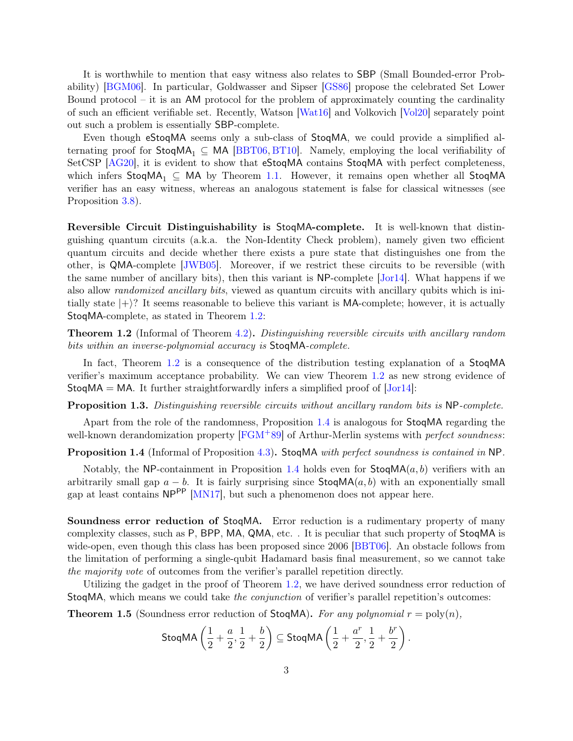It is worthwhile to mention that easy witness also relates to SBP (Small Bounded-error Probability) [\[BGM06\]](#page-18-6). In particular, Goldwasser and Sipser [\[GS86\]](#page-19-2) propose the celebrated Set Lower Bound protocol – it is an AM protocol for the problem of approximately counting the cardinality of such an efficient verifiable set. Recently, Watson [\[Wat16\]](#page-21-0) and Volkovich [\[Vol20\]](#page-20-4) separately point out such a problem is essentially SBP-complete.

Even though eStoqMA seems only a sub-class of StoqMA, we could provide a simplified alternating proof for  $StoqMA_1 \subseteq MA$  [\[BBT06,](#page-18-0) [BT10\]](#page-19-0). Namely, employing the local verifiability of SetCSP [\[AG20\]](#page-18-4), it is evident to show that eStoqMA contains StoqMA with perfect completeness, which infers StoqMA<sub>1</sub>  $\subseteq$  MA by Theorem [1.1.](#page-1-5) However, it remains open whether all StoqMA verifier has an easy witness, whereas an analogous statement is false for classical witnesses (see Proposition [3.8\)](#page-12-0).

Reversible Circuit Distinguishability is StoqMA-complete. It is well-known that distinguishing quantum circuits (a.k.a. the Non-Identity Check problem), namely given two efficient quantum circuits and decide whether there exists a pure state that distinguishes one from the other, is QMA-complete [\[JWB05\]](#page-20-0). Moreover, if we restrict these circuits to be reversible (with the same number of ancillary bits), then this variant is NP-complete [\[Jor14\]](#page-20-5). What happens if we also allow randomized ancillary bits, viewed as quantum circuits with ancillary qubits which is initially state  $|+\rangle$ ? It seems reasonable to believe this variant is MA-complete; however, it is actually StoqMA-complete, as stated in Theorem [1.2:](#page-2-0)

<span id="page-2-0"></span>**Theorem 1.2** (Informal of Theorem [4.2\)](#page-13-0). Distinguishing reversible circuits with ancillary random bits within an inverse-polynomial accuracy is StoqMA-complete.

In fact, Theorem [1.2](#page-2-0) is a consequence of the distribution testing explanation of a StoqMA verifier's maximum acceptance probability. We can view Theorem [1.2](#page-2-0) as new strong evidence of  $StogMA = MA$ . It further straightforwardly infers a simplified proof of  $|Jor14|$ :

Proposition 1.3. Distinguishing reversible circuits without ancillary random bits is NP-complete.

<span id="page-2-1"></span>Apart from the role of the randomness, Proposition [1.4](#page-2-1) is analogous for StoqMA regarding the well-known derandomization property [\[FGM](#page-19-3)+89] of Arthur-Merlin systems with *perfect soundness*:

Proposition 1.4 (Informal of Proposition [4.3\)](#page-14-0). StoqMA with perfect soundness is contained in NP.

Notably, the NP-containment in Proposition [1.4](#page-2-1) holds even for  $\textsf{StogMA}(a, b)$  verifiers with an arbitrarily small gap  $a - b$ . It is fairly surprising since  $\text{StoqMA}(a, b)$  with an exponentially small gap at least contains  $NP^{PP}$  [\[MN17\]](#page-20-6), but such a phenomenon does not appear here.

Soundness error reduction of StoqMA. Error reduction is a rudimentary property of many complexity classes, such as P, BPP, MA, QMA, etc. . It is peculiar that such property of StoqMA is wide-open, even though this class has been proposed since 2006 [\[BBT06\]](#page-18-0). An obstacle follows from the limitation of performing a single-qubit Hadamard basis final measurement, so we cannot take the majority vote of outcomes from the verifier's parallel repetition directly.

<span id="page-2-2"></span>Utilizing the gadget in the proof of Theorem [1.2,](#page-2-0) we have derived soundness error reduction of StoqMA, which means we could take the conjunction of verifier's parallel repetition's outcomes:

**Theorem 1.5** (Soundness error reduction of StoqMA). For any polynomial  $r = \text{poly}(n)$ ,

$$
\mathsf{StoqMA}\left(\frac{1}{2}+\frac{a}{2},\frac{1}{2}+\frac{b}{2}\right) \subseteq \mathsf{StoqMA}\left(\frac{1}{2}+\frac{a^r}{2},\frac{1}{2}+\frac{b^r}{2}\right).
$$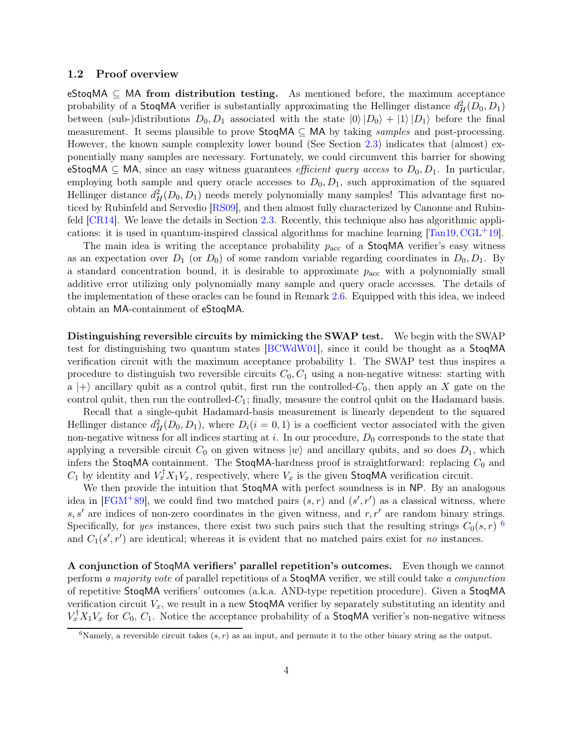#### 1.2 Proof overview

eStoqMA  $\subseteq$  MA from distribution testing. As mentioned before, the maximum acceptance probability of a **StoqMA** verifier is substantially approximating the Hellinger distance  $d_H^2(D_0, D_1)$ between (sub-)distributions  $D_0, D_1$  associated with the state  $|0\rangle|D_0\rangle + |1\rangle|D_1\rangle$  before the final measurement. It seems plausible to prove  $\text{StoqMA} \subseteq \text{MA}$  by taking samples and post-processing. However, the known sample complexity lower bound (See Section [2.3\)](#page-7-1) indicates that (almost) exponentially many samples are necessary. Fortunately, we could circumvent this barrier for showing eStoqMA  $\subseteq$  MA, since an easy witness guarantees *efficient query access* to  $D_0, D_1$ . In particular, employing both sample and query oracle accesses to  $D_0, D_1$ , such approximation of the squared Hellinger distance  $d_H^2(D_0, D_1)$  needs merely polynomially many samples! This advantage first noticed by Rubinfeld and Servedio [\[RS09\]](#page-20-7), and then almost fully characterized by Canonne and Rubinfeld [\[CR14\]](#page-19-4). We leave the details in Section [2.3.](#page-7-1) Recently, this technique also has algorithmic applications: it is used in quantum-inspired classical algorithms for machine learning  $[Tan19, \text{CGL}^+19]$  $[Tan19, \text{CGL}^+19]$  $[Tan19, \text{CGL}^+19]$ .

The main idea is writing the acceptance probability  $p_{\text{acc}}$  of a StoqMA verifier's easy witness as an expectation over  $D_1$  (or  $D_0$ ) of some random variable regarding coordinates in  $D_0, D_1$ . By a standard concentration bound, it is desirable to approximate  $p_{\text{acc}}$  with a polynomially small additive error utilizing only polynomially many sample and query oracle accesses. The details of the implementation of these oracles can be found in Remark [2.6.](#page-7-0) Equipped with this idea, we indeed obtain an MA-containment of eStoqMA.

Distinguishing reversible circuits by mimicking the SWAP test. We begin with the SWAP test for distinguishing two quantum states [\[BCWdW01\]](#page-18-7), since it could be thought as a StoqMA verification circuit with the maximum acceptance probability 1. The SWAP test thus inspires a procedure to distinguish two reversible circuits  $C_0, C_1$  using a non-negative witness: starting with a  $|+\rangle$  ancillary qubit as a control qubit, first run the controlled-C<sub>0</sub>, then apply an X gate on the control qubit, then run the controlled- $C_1$ ; finally, measure the control qubit on the Hadamard basis.

Recall that a single-qubit Hadamard-basis measurement is linearly dependent to the squared Hellinger distance  $d_H^2(D_0, D_1)$ , where  $D_i(i = 0, 1)$  is a coefficient vector associated with the given non-negative witness for all indices starting at i. In our procedure,  $D_0$  corresponds to the state that applying a reversible circuit  $C_0$  on given witness  $|w\rangle$  and ancillary qubits, and so does  $D_1$ , which infers the StoqMA containment. The StoqMA-hardness proof is straightforward: replacing  $C_0$  and  $C_1$  by identity and  $V_x^{\dagger} X_1 V_x$ , respectively, where  $V_x$  is the given StoqMA verification circuit.

We then provide the intuition that  $StoqMA$  with perfect soundness is in NP. By an analogous idea in [\[FGM](#page-19-3)<sup>+</sup>89], we could find two matched pairs  $(s, r)$  and  $(s', r')$  as a classical witness, where s, s' are indices of non-zero coordinates in the given witness, and  $r, r'$  are random binary strings. Specifically, for yes instances, there exist two such pairs such that the resulting strings  $C_0(s,r)$  <sup>[6](#page-3-0)</sup> and  $C_1(s', r')$  are identical; whereas it is evident that no matched pairs exist for no instances.

A conjunction of StoqMA verifiers' parallel repetition's outcomes. Even though we cannot perform a majority vote of parallel repetitions of a StoqMA verifier, we still could take a conjunction of repetitive StoqMA verifiers' outcomes (a.k.a. AND-type repetition procedure). Given a StoqMA verification circuit  $V_x$ , we result in a new StoqMA verifier by separately substituting an identity and  $V_x^{\dagger} X_1 V_x$  for  $C_0$ ,  $C_1$ . Notice the acceptance probability of a **StoqMA** verifier's non-negative witness

<span id="page-3-0"></span><sup>&</sup>lt;sup>6</sup>Namely, a reversible circuit takes  $(s, r)$  as an input, and permute it to the other binary string as the output.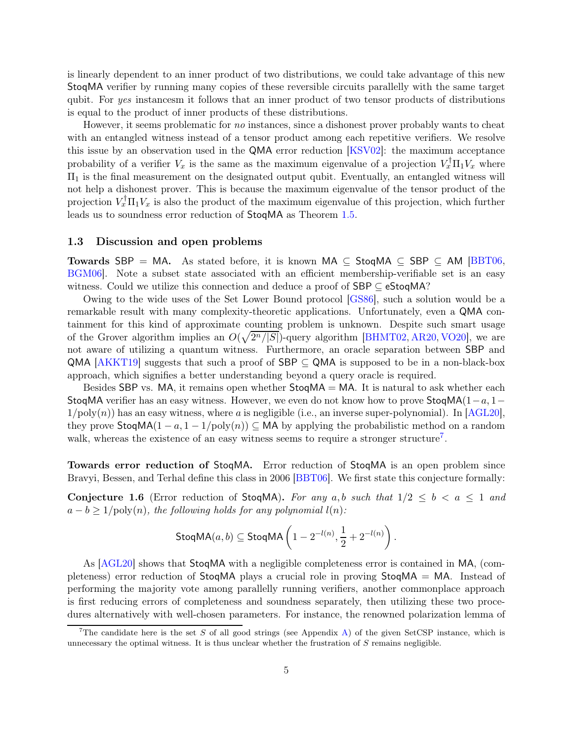is linearly dependent to an inner product of two distributions, we could take advantage of this new StoqMA verifier by running many copies of these reversible circuits parallelly with the same target qubit. For yes instancesm it follows that an inner product of two tensor products of distributions is equal to the product of inner products of these distributions.

However, it seems problematic for no instances, since a dishonest prover probably wants to cheat with an entangled witness instead of a tensor product among each repetitive verifiers. We resolve this issue by an observation used in the QMA error reduction [\[KSV02\]](#page-20-9): the maximum acceptance probability of a verifier  $V_x$  is the same as the maximum eigenvalue of a projection  $V_x^{\dagger} \Pi_1 V_x$  where  $\Pi_1$  is the final measurement on the designated output qubit. Eventually, an entangled witness will not help a dishonest prover. This is because the maximum eigenvalue of the tensor product of the projection  $V_x^{\dagger} \Pi_1 V_x$  is also the product of the maximum eigenvalue of this projection, which further leads us to soundness error reduction of StoqMA as Theorem [1.5.](#page-2-2)

#### 1.3 Discussion and open problems

Towards SBP = MA. As stated before, it is known MA  $\subseteq$  StoqMA  $\subseteq$  SBP  $\subseteq$  AM [\[BBT06,](#page-18-0) [BGM06\]](#page-18-6). Note a subset state associated with an efficient membership-verifiable set is an easy witness. Could we utilize this connection and deduce a proof of  $SBP \subseteq eStoqMA$ ?

Owing to the wide uses of the Set Lower Bound protocol [\[GS86\]](#page-19-2), such a solution would be a remarkable result with many complexity-theoretic applications. Unfortunately, even a QMA containment for this kind of approximate counting problem is unknown. Despite such smart usage of the Grover algorithm implies an  $O(\sqrt{2^n/|S|})$ -query algorithm [\[BHMT02,](#page-19-6) [AR20,](#page-18-8) [VO20\]](#page-20-10), we are not aware of utilizing a quantum witness. Furthermore, an oracle separation between SBP and QMA  $AKKT19$  suggests that such a proof of SBP  $\subseteq$  QMA is supposed to be in a non-black-box approach, which signifies a better understanding beyond a query oracle is required.

Besides SBP vs. MA, it remains open whether  $\text{StogMA} = \text{MA}$ . It is natural to ask whether each StoqMA verifier has an easy witness. However, we even do not know how to prove StoqMA( $1-a, 1-a$  $1/poly(n)$  has an easy witness, where a is negligible (i.e., an inverse super-polynomial). In [\[AGL20\]](#page-18-5), they prove  $\text{StoqMA}(1 - a, 1 - 1/\text{poly}(n)) \subseteq MA$  by applying the probabilistic method on a random walk, whereas the existence of an easy witness seems to require a stronger structure<sup>[7](#page-4-0)</sup>.

<span id="page-4-1"></span>Towards error reduction of StoqMA. Error reduction of StoqMA is an open problem since Bravyi, Bessen, and Terhal define this class in 2006 [\[BBT06\]](#page-18-0). We first state this conjecture formally:

**Conjecture 1.6** (Error reduction of StoqMA). For any a,b such that  $1/2 \leq b < a \leq 1$  and  $a - b \geq 1/\text{poly}(n)$ , the following holds for any polynomial  $l(n)$ :

$$
\mathsf{StoqMA}(a,b) \subseteq \mathsf{StoqMA}\left(1 - 2^{-l(n)}, \frac{1}{2} + 2^{-l(n)}\right)
$$

.

As [\[AGL20\]](#page-18-5) shows that StoqMA with a negligible completeness error is contained in MA, (completeness) error reduction of StoqMA plays a crucial role in proving StoqMA = MA. Instead of performing the majority vote among parallelly running verifiers, another commonplace approach is first reducing errors of completeness and soundness separately, then utilizing these two procedures alternatively with well-chosen parameters. For instance, the renowned polarization lemma of

<span id="page-4-0"></span><sup>&</sup>lt;sup>7</sup>The candidate here is the set S of all good strings (see Appendix [A\)](#page-21-1) of the given SetCSP instance, which is unnecessary the optimal witness. It is thus unclear whether the frustration of  $S$  remains negligible.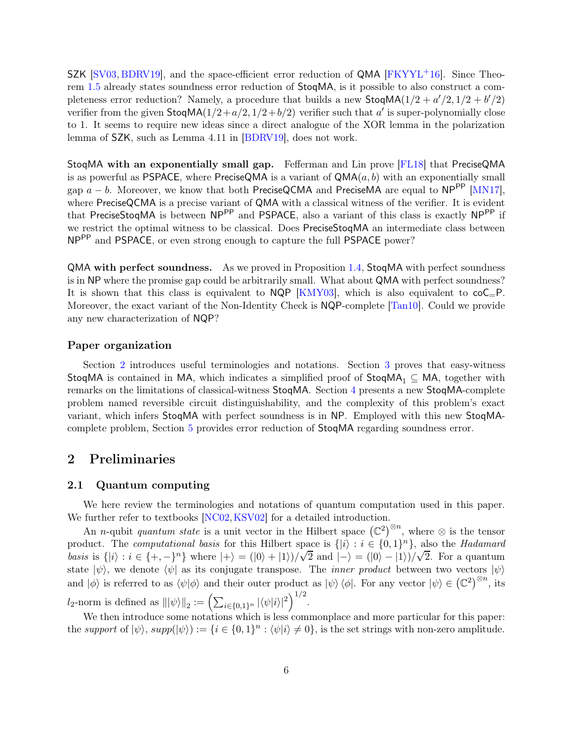SZK [\[SV03,](#page-20-11) [BDRV19\]](#page-18-10), and the space-efficient error reduction of QMA [\[FKYYL](#page-19-7)+16]. Since Theorem [1.5](#page-2-2) already states soundness error reduction of StoqMA, is it possible to also construct a completeness error reduction? Namely, a procedure that builds a new  $\text{StogMA}(1/2 + a'/2, 1/2 + b'/2)$ verifier from the given  $\text{StoqMA}(1/2 + a/2, 1/2 + b/2)$  verifier such that a' is super-polynomially close to 1. It seems to require new ideas since a direct analogue of the XOR lemma in the polarization lemma of SZK, such as Lemma 4.11 in [\[BDRV19\]](#page-18-10), does not work.

StoqMA with an exponentially small gap. Fefferman and Lin prove [\[FL18\]](#page-19-8) that PreciseQMA is as powerful as PSPACE, where PreciseQMA is a variant of  $\mathsf{QMA}(a, b)$  with an exponentially small gap  $a - b$ . Moreover, we know that both PreciseQCMA and PreciseMA are equal to NP<sup>PP</sup> [\[MN17\]](#page-20-6), where PreciseQCMA is a precise variant of QMA with a classical witness of the verifier. It is evident that PreciseStoqMA is between NP<sup>PP</sup> and PSPACE, also a variant of this class is exactly NP<sup>PP</sup> if we restrict the optimal witness to be classical. Does PreciseStoqMA an intermediate class between NPPP and PSPACE, or even strong enough to capture the full PSPACE power?

QMA with perfect soundness. As we proved in Proposition [1.4,](#page-2-1) StoqMA with perfect soundness is in NP where the promise gap could be arbitrarily small. What about QMA with perfect soundness? It is shown that this class is equivalent to  $NQP$  [\[KMY03\]](#page-20-12), which is also equivalent to  $coC=P$ . Moreover, the exact variant of the Non-Identity Check is NQP-complete [\[Tan10\]](#page-20-13). Could we provide any new characterization of NQP?

#### Paper organization

Section [2](#page-5-0) introduces useful terminologies and notations. Section [3](#page-7-2) proves that easy-witness StoqMA is contained in MA, which indicates a simplified proof of  $StoqMA_1 \subseteq MA$ , together with remarks on the limitations of classical-witness StoqMA. Section [4](#page-13-1) presents a new StoqMA-complete problem named reversible circuit distinguishability, and the complexity of this problem's exact variant, which infers StoqMA with perfect soundness is in NP. Employed with this new StoqMAcomplete problem, Section [5](#page-16-0) provides error reduction of StoqMA regarding soundness error.

# <span id="page-5-0"></span>2 Preliminaries

#### 2.1 Quantum computing

We here review the terminologies and notations of quantum computation used in this paper. We further refer to textbooks [\[NC02,](#page-20-14) [KSV02\]](#page-20-9) for a detailed introduction.

An *n*-qubit *quantum state* is a unit vector in the Hilbert space  $(\mathbb{C}^2)^{\otimes n}$ , where  $\otimes$  is the tensor product. The *computational basis* for this Hilbert space is  $\{|i\rangle : i \in \{0,1\}^n\}$ , also the *Hadamard* basis is  $\{|i\rangle : i \in \{+, -\}^n\}$  where  $|+\rangle = (|0\rangle + |1\rangle)/\sqrt{2}$  and  $|-\rangle = (|0\rangle - |1\rangle)/\sqrt{2}$ . For a quantum state  $|\psi\rangle$ , we denote  $\langle \psi |$  as its conjugate transpose. The *inner product* between two vectors  $|\psi\rangle$ and  $|\phi\rangle$  is referred to as  $\langle \psi | \phi \rangle$  and their outer product as  $|\psi\rangle \langle \phi|$ . For any vector  $|\psi\rangle \in (\mathbb{C}^2)^{\otimes n}$ , its  $l_2$ -norm is defined as  $\| |\psi\rangle \|_2 := \left( \sum_{i \in \{0,1\}^n} |\langle \psi | i \rangle|^2 \right)^{1/2}$ .

We then introduce some notations which is less commonplace and more particular for this paper: the support of  $|\psi\rangle$ ,  $supp(|\psi\rangle) := \{i \in \{0,1\}^n : \langle \psi | i \rangle \neq 0\}$ , is the set strings with non-zero amplitude.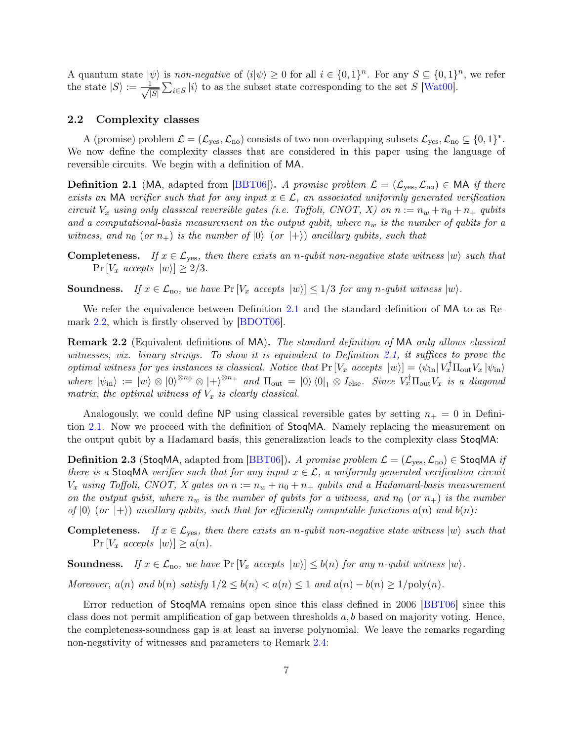A quantum state  $|\psi\rangle$  is non-negative of  $\langle i|\psi\rangle \geq 0$  for all  $i \in \{0,1\}^n$ . For any  $S \subseteq \{0,1\}^n$ , we refer the state  $|S\rangle := \frac{1}{\sqrt{2}}$  $|S|$  $\sum_{i \in S} |i\rangle$  to as the subset state corresponding to the set S [\[Wat00\]](#page-21-2).

#### <span id="page-6-0"></span>2.2 Complexity classes

A (promise) problem  $\mathcal{L} = (\mathcal{L}_{\text{yes}}, \mathcal{L}_{\text{no}})$  consists of two non-overlapping subsets  $\mathcal{L}_{\text{yes}}, \mathcal{L}_{\text{no}} \subseteq \{0, 1\}^*$ . We now define the complexity classes that are considered in this paper using the language of reversible circuits. We begin with a definition of MA.

<span id="page-6-2"></span>**Definition 2.1** (MA, adapted from [\[BBT06\]](#page-18-0)). A promise problem  $\mathcal{L} = (\mathcal{L}_{\text{yes}}, \mathcal{L}_{\text{no}}) \in \mathsf{MA}$  if there exists an MA verifier such that for any input  $x \in \mathcal{L}$ , an associated uniformly generated verification circuit  $V_x$  using only classical reversible gates (i.e. Toffoli, CNOT, X) on  $n := n_w + n_0 + n_+$  qubits and a computational-basis measurement on the output qubit, where  $n_w$  is the number of qubits for a witness, and  $n_0$  (or  $n_+$ ) is the number of  $|0\rangle$  (or  $|+\rangle$ ) ancillary qubits, such that

**Completeness.** If  $x \in \mathcal{L}_{yes}$ , then there exists an n-qubit non-negative state witness  $|w\rangle$  such that  $Pr[V_x \text{ accepts } |w\rangle] > 2/3.$ 

**Soundness.** If  $x \in \mathcal{L}_{\text{no}}$ , we have  $\Pr[V_x \text{ accepts } |w\rangle] \leq 1/3$  for any n-qubit witness  $|w\rangle$ .

<span id="page-6-3"></span>We refer the equivalence between Definition [2.1](#page-6-2) and the standard definition of MA to as Remark [2.2,](#page-6-3) which is firstly observed by [\[BDOT06\]](#page-18-2).

Remark 2.2 (Equivalent definitions of MA). The standard definition of MA only allows classical witnesses, viz. binary strings. To show it is equivalent to Definition [2.1,](#page-6-2) it suffices to prove the optimal witness for yes instances is classical. Notice that  $Pr[V_x \text{ accepts } |w\rangle] = \langle \psi_{\text{in}} | V_x \Pi_{\text{out}} V_x | \psi_{\text{in}} \rangle$ where  $|\psi_{\text{in}}\rangle := |w\rangle \otimes |0\rangle^{\otimes n_0} \otimes |+\rangle^{\otimes n_+}$  and  $\Pi_{\text{out}} = |0\rangle \langle 0|_1 \otimes I_{\text{else}}$ . Since  $V_x^{\dagger} \Pi_{\text{out}} V_x$  is a diagonal matrix, the optimal witness of  $V_x$  is clearly classical.

Analogously, we could define NP using classical reversible gates by setting  $n_+ = 0$  in Definition [2.1.](#page-6-2) Now we proceed with the definition of StoqMA. Namely replacing the measurement on the output qubit by a Hadamard basis, this generalization leads to the complexity class StoqMA:

**Definition 2.3** (StoqMA, adapted from [\[BBT06\]](#page-18-0)). A promise problem  $\mathcal{L} = (\mathcal{L}_{\text{yes}}, \mathcal{L}_{\text{no}}) \in \text{StoqMA}$  if there is a StoqMA verifier such that for any input  $x \in \mathcal{L}$ , a uniformly generated verification circuit  $V_x$  using Toffoli, CNOT, X gates on  $n := n_w + n_0 + n_+$  qubits and a Hadamard-basis measurement on the output qubit, where  $n_w$  is the number of qubits for a witness, and  $n_0$  (or  $n_+$ ) is the number of  $|0\rangle$  (or  $|+\rangle$ ) ancillary qubits, such that for efficiently computable functions  $a(n)$  and  $b(n)$ :

**Completeness.** If  $x \in \mathcal{L}_{\text{yes}}$ , then there exists an n-qubit non-negative state witness  $|w\rangle$  such that  $Pr[V_x \text{ accepts } |w\rangle] \geq a(n).$ 

**Soundness.** If  $x \in \mathcal{L}_{no}$ , we have  $Pr[V_x \text{ accepts } |w\rangle] \leq b(n)$  for any n-qubit witness  $|w\rangle$ .

Moreover,  $a(n)$  and  $b(n)$  satisfy  $1/2 \leq b(n) < a(n) \leq 1$  and  $a(n) - b(n) \geq 1/\text{poly}(n)$ .

<span id="page-6-1"></span>Error reduction of StoqMA remains open since this class defined in 2006 [\[BBT06\]](#page-18-0) since this class does not permit amplification of gap between thresholds  $a, b$  based on majority voting. Hence, the completeness-soundness gap is at least an inverse polynomial. We leave the remarks regarding non-negativity of witnesses and parameters to Remark [2.4:](#page-6-1)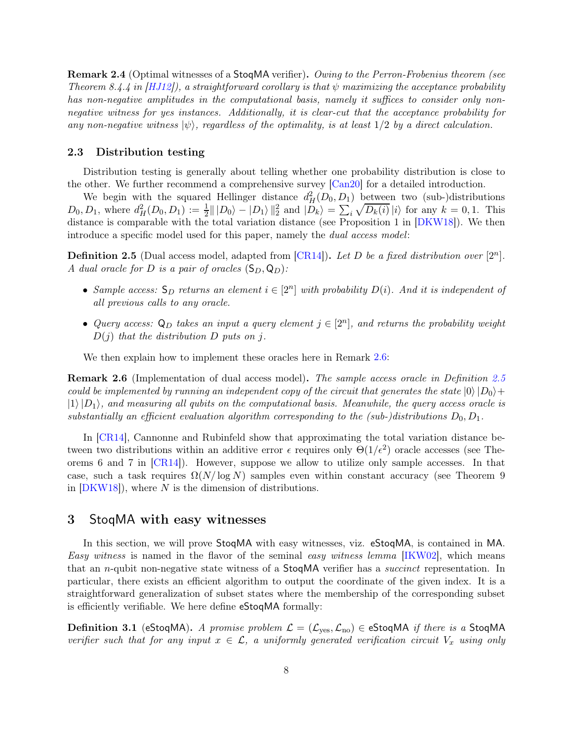Remark 2.4 (Optimal witnesses of a StoqMA verifier). Owing to the Perron-Frobenius theorem (see Theorem 8.4.4 in  $[HJ12]$ , a straightforward corollary is that  $\psi$  maximizing the acceptance probability has non-negative amplitudes in the computational basis, namely it suffices to consider only nonnegative witness for yes instances. Additionally, it is clear-cut that the acceptance probability for any non-negative witness  $|\psi\rangle$ , regardless of the optimality, is at least  $1/2$  by a direct calculation.

#### <span id="page-7-1"></span>2.3 Distribution testing

Distribution testing is generally about telling whether one probability distribution is close to the other. We further recommend a comprehensive survey [\[Can20\]](#page-19-10) for a detailed introduction.

We begin with the squared Hellinger distance  $d_H^2(D_0, D_1)$  between two (sub-)distributions  $D_0, D_1$ , where  $d_H^2(D_0, D_1) := \frac{1}{2} || |D_0\rangle - |D_1\rangle ||_2^2$  and  $|\overline{D}_k\rangle = \sum_i \sqrt{D_k(i)} |i\rangle$  for any  $k = 0, 1$ . This distance is comparable with the total variation distance (see Proposition 1 in [\[DKW18\]](#page-19-11)). We then introduce a specific model used for this paper, namely the dual access model:

<span id="page-7-3"></span>**Definition 2.5** (Dual access model, adapted from  $[CR14]$ ). Let D be a fixed distribution over  $[2^n]$ . A dual oracle for D is a pair of oracles  $(S_D, Q_D)$ :

- Sample access:  $S_D$  returns an element  $i \in [2^n]$  with probability  $D(i)$ . And it is independent of all previous calls to any oracle.
- Query access:  $\mathsf{Q}_D$  takes an input a query element  $j \in [2^n]$ , and returns the probability weight  $D(j)$  that the distribution D puts on j.

<span id="page-7-0"></span>We then explain how to implement these oracles here in Remark [2.6:](#page-7-0)

**Remark 2.6** (Implementation of dual access model). The sample access oracle in Definition [2.5](#page-7-3) could be implemented by running an independent copy of the circuit that generates the state  $|0\rangle|D_0\rangle +$  $|1\rangle|D_1\rangle$ , and measuring all qubits on the computational basis. Meanwhile, the query access oracle is substantially an efficient evaluation algorithm corresponding to the (sub-)distributions  $D_0, D_1$ .

In [\[CR14\]](#page-19-4), Cannonne and Rubinfeld show that approximating the total variation distance between two distributions within an additive error  $\epsilon$  requires only  $\Theta(1/\epsilon^2)$  oracle accesses (see Theorems 6 and 7 in [\[CR14\]](#page-19-4)). However, suppose we allow to utilize only sample accesses. In that case, such a task requires  $\Omega(N/\log N)$  samples even within constant accuracy (see Theorem 9 in  $[DKW18]$ , where N is the dimension of distributions.

## <span id="page-7-2"></span>3 StoqMA with easy witnesses

In this section, we will prove StoqMA with easy witnesses, viz. eStoqMA, is contained in MA. Easy witness is named in the flavor of the seminal easy witness lemma [\[IKW02\]](#page-19-12), which means that an *n*-qubit non-negative state witness of a **StoqMA** verifier has a *succinct* representation. In particular, there exists an efficient algorithm to output the coordinate of the given index. It is a straightforward generalization of subset states where the membership of the corresponding subset is efficiently verifiable. We here define eStoqMA formally:

**Definition 3.1** (eStoqMA). A promise problem  $\mathcal{L} = (\mathcal{L}_{\text{ves}}, \mathcal{L}_{\text{no}}) \in \text{eStoqMA}$  if there is a StoqMA verifier such that for any input  $x \in \mathcal{L}$ , a uniformly generated verification circuit  $V_x$  using only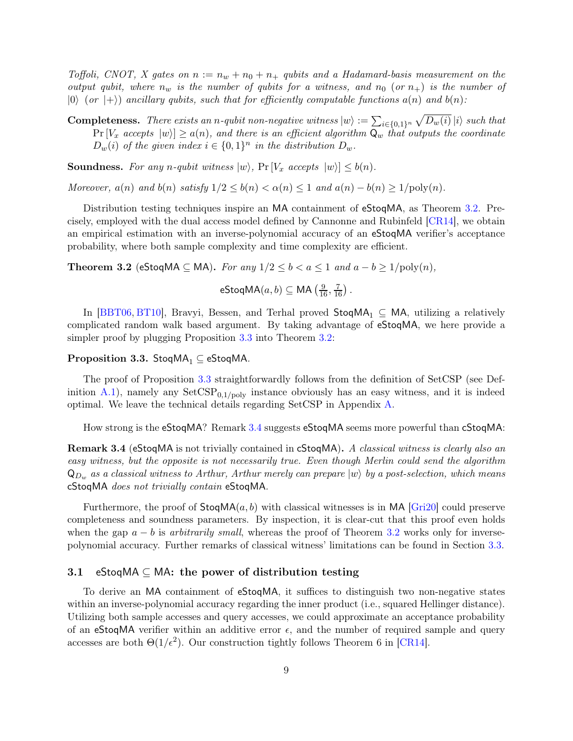Toffoli, CNOT, X gates on  $n := n_w + n_0 + n_+$  qubits and a Hadamard-basis measurement on the output qubit, where  $n_w$  is the number of qubits for a witness, and  $n_0$  (or  $n_+$ ) is the number of  $|0\rangle$  (or  $|+\rangle$ ) ancillary qubits, such that for efficiently computable functions  $a(n)$  and  $b(n)$ :

**Completeness.** There exists an n-qubit non-negative witness  $|w\rangle := \sum_{i \in \{0,1\}^n} \sqrt{D_w(i)} |i\rangle$  such that  $Pr[V_x \text{ accepts } |w\rangle] \geq a(n)$ , and there is an efficient algorithm  $\mathsf{Q}_w$  that outputs the coordinate  $D_w(i)$  of the given index  $i \in \{0,1\}^n$  in the distribution  $D_w$ .

**Soundness.** For any n-qubit witness  $|w\rangle$ , Pr  $[V_x \text{ accepts } |w\rangle] \leq b(n)$ .

Moreover,  $a(n)$  and  $b(n)$  satisfy  $1/2 \leq b(n) < \alpha(n) \leq 1$  and  $a(n) - b(n) \geq 1/\text{poly}(n)$ .

Distribution testing techniques inspire an MA containment of eStoqMA, as Theorem [3.2.](#page-8-1) Precisely, employed with the dual access model defined by Cannonne and Rubinfeld [\[CR14\]](#page-19-4), we obtain an empirical estimation with an inverse-polynomial accuracy of an eStoqMA verifier's acceptance probability, where both sample complexity and time complexity are efficient.

<span id="page-8-1"></span>**Theorem 3.2** (eStoqMA ⊆ MA). For any  $1/2 \le b < a \le 1$  and  $a - b \ge 1/\text{poly}(n)$ ,

$$
\mathsf{eStoqMA}(a,b) \subseteq \mathsf{MA}\left(\frac{9}{16},\frac{7}{16}\right).
$$

In [\[BBT06,](#page-18-0) [BT10\]](#page-19-0), Bravyi, Bessen, and Terhal proved  $\text{StoqMA}_1 \subseteq MA$ , utilizing a relatively complicated random walk based argument. By taking advantage of eStoqMA, we here provide a simpler proof by plugging Proposition [3.3](#page-8-2) into Theorem [3.2:](#page-8-1)

#### <span id="page-8-2"></span>Proposition 3.3. StoqMA<sub>1</sub>  $\subseteq$  eStoqMA.

The proof of Proposition [3.3](#page-8-2) straightforwardly follows from the definition of SetCSP (see Definition  $A.1$ ), namely any  $SetCSP_{0,1/poly}$  instance obviously has an easy witness, and it is indeed optimal. We leave the technical details regarding SetCSP in Appendix [A.](#page-21-1)

<span id="page-8-0"></span>How strong is the eStoqMA? Remark [3.4](#page-8-0) suggests eStoqMA seems more powerful than cStoqMA:

Remark 3.4 (eStoqMA is not trivially contained in cStoqMA). A classical witness is clearly also an easy witness, but the opposite is not necessarily true. Even though Merlin could send the algorithm  $\mathsf{Q}_{D_w}$  as a classical witness to Arthur, Arthur merely can prepare  $|w\rangle$  by a post-selection, which means cStoqMA does not trivially contain eStoqMA.

Furthermore, the proof of  $\text{StogMA}(a, b)$  with classical witnesses is in MA  $\text{[Gri20]}$  $\text{[Gri20]}$  $\text{[Gri20]}$  could preserve completeness and soundness parameters. By inspection, it is clear-cut that this proof even holds when the gap  $a - b$  is arbitrarily small, whereas the proof of Theorem [3.2](#page-8-1) works only for inversepolynomial accuracy. Further remarks of classical witness' limitations can be found in Section [3.3.](#page-11-0)

#### 3.1 eStoqMA  $\subset$  MA: the power of distribution testing

<span id="page-8-3"></span>To derive an MA containment of eStoqMA, it suffices to distinguish two non-negative states within an inverse-polynomial accuracy regarding the inner product (i.e., squared Hellinger distance). Utilizing both sample accesses and query accesses, we could approximate an acceptance probability of an eStoqMA verifier within an additive error  $\epsilon$ , and the number of required sample and query accesses are both  $\Theta(1/\epsilon^2)$ . Our construction tightly follows Theorem 6 in [\[CR14\]](#page-19-4).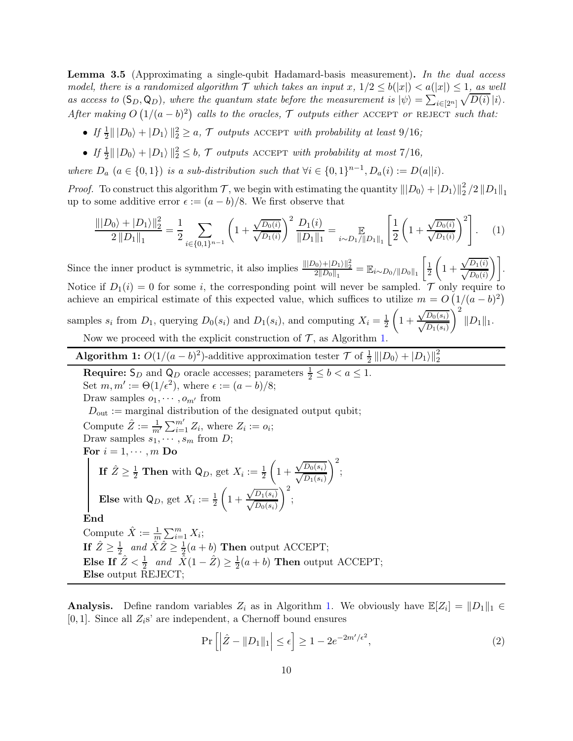**Lemma 3.5** (Approximating a single-qubit Hadamard-basis measurement). In the dual access model, there is a randomized algorithm  $\mathcal T$  which takes an input  $x$ ,  $1/2 \leq b(|x|) < a(|x|) \leq 1$ , as well as access to  $(S_D, Q_D)$ , where the quantum state before the measurement is  $|\psi\rangle = \sum_{i \in [2^n]} \sqrt{D(i)} |i\rangle$ . After making  $O(1/(a-b)^2)$  calls to the oracles,  $\mathcal T$  outputs either ACCEPT or REJECT such that:

- If  $\frac{1}{2} || |D_0\rangle + |D_1\rangle||_2^2 \geq a, \mathcal{T}$  outputs ACCEPT with probability at least 9/16;
- If  $\frac{1}{2} || |D_0\rangle + |D_1\rangle||_2^2 \leq b$ ,  $\mathcal{T}$  outputs ACCEPT with probability at most 7/16,

where  $D_a$   $(a \in \{0,1\})$  is a sub-distribution such that  $\forall i \in \{0,1\}^{n-1}, D_a(i) := D(a||i)$ .

*Proof.* To construct this algorithm  $\mathcal{T}$ , we begin with estimating the quantity  $||D_0\rangle + |D_1\rangle||_2^2/2||D_1||_1$ up to some additive error  $\epsilon := (a - b)/8$ . We first observe that

<span id="page-9-1"></span>
$$
\frac{\||D_0\rangle + |D_1\rangle\|_2^2}{2\|D_1\|_1} = \frac{1}{2} \sum_{i \in \{0,1\}^{n-1}} \left(1 + \frac{\sqrt{D_0(i)}}{\sqrt{D_1(i)}}\right)^2 \frac{D_1(i)}{\|D_1\|_1} = \mathop{\mathbb{E}}_{i \sim D_1/||D_1||_1} \left[\frac{1}{2} \left(1 + \frac{\sqrt{D_0(i)}}{\sqrt{D_1(i)}}\right)^2\right].
$$
 (1)

Since the inner product is symmetric, it also implies  $\frac{\| |D_0\rangle + |D_1\rangle \|_2^2}{2\|D_0\|_1} = \mathbb{E}_{i \sim D_0 / \|D_0\|_1} \left[ \frac{1}{2} \right]$ 2  $\left(1 + \right)$  $\left.\frac{\sqrt{D_1(i)}}{\sqrt{D_0(i)}}\right)\right].$ Notice if  $D_1(i) = 0$  for some i, the corresponding point will never be sampled. T only require to achieve an empirical estimate of this expected value, which suffices to utilize  $m = O\left(\frac{1}{a} - b\right)^2$  $\setminus^2$  $||D_1||_1.$ 

samples  $s_i$  from  $D_1$ , querying  $D_0(s_i)$  and  $D_1(s_i)$ , and computing  $X_i = \frac{1}{2}$ 2  $\left(1 + \right)$  $\sqrt{D_0(s_i)}$ 

Now we proceed with the explicit construction of  $\mathcal{T}$ , as Algorithm [1.](#page-9-0)

Algorithm 1:  $O(1/(a-b)^2)$ -additive approximation tester  $\mathcal{T}$  of  $\frac{1}{2}|||D_0\rangle + |D_1\rangle||_2^2$ 

**Require:**  $\mathsf{S}_D$  and  $\mathsf{Q}_D$  oracle accesses; parameters  $\frac{1}{2} \leq b < a \leq 1$ . Set  $m, m' := \Theta(1/\epsilon^2)$ , where  $\epsilon := (a - b)/8$ ; Draw samples  $o_1, \dots, o_{m'}$  from  $D_{\text{out}} :=$  marginal distribution of the designated output qubit; Compute  $\hat{Z} := \frac{1}{m'} \sum_{i=1}^{m'} Z_i$ , where  $Z_i := o_i$ ; Draw samples  $s_1, \cdots, s_m$  from D; For  $i = 1, \dots, m$  Do If  $\hat{Z} \ge \frac{1}{2}$  Then with  $\mathsf{Q}_D$ , get  $X_i := \frac{1}{2}$  $\left(1 + \right)$  $\sqrt{D_0(s_i)}$  $\Big)^2;$ **Else** with  $\mathsf{Q}_D$ , get  $X_i := \frac{1}{2}$  $\left(1 + \right)$  $\sqrt{D_1(s_i)}$  $\Big)^2;$ End Compute  $\hat{X} := \frac{1}{m} \sum_{i=1}^{m} X_i;$ If  $\hat{Z} \ge \frac{1}{2}$  and  $\hat{X}\hat{Z} \ge \frac{1}{2}(a+b)$  Then output ACCEPT;

<span id="page-9-0"></span>Else If  $\hat{Z} < \frac{1}{2}$  and  $\hat{X}(1 - \hat{Z}) \ge \frac{1}{2}$  $\frac{1}{2}(a+b)$  Then output ACCEPT; Else output REJECT;

**Analysis.** Define random variables  $Z_i$  as in Algorithm [1.](#page-9-0) We obviously have  $\mathbb{E}[Z_i] = ||D_1||_1 \in$ [0, 1]. Since all  $Z_i$ s' are independent, a Chernoff bound ensures

<span id="page-9-2"></span>
$$
\Pr\left[\left|\hat{Z} - \|D_1\|_1\right| \le \epsilon\right] \ge 1 - 2e^{-2m'/\epsilon^2},\tag{2}
$$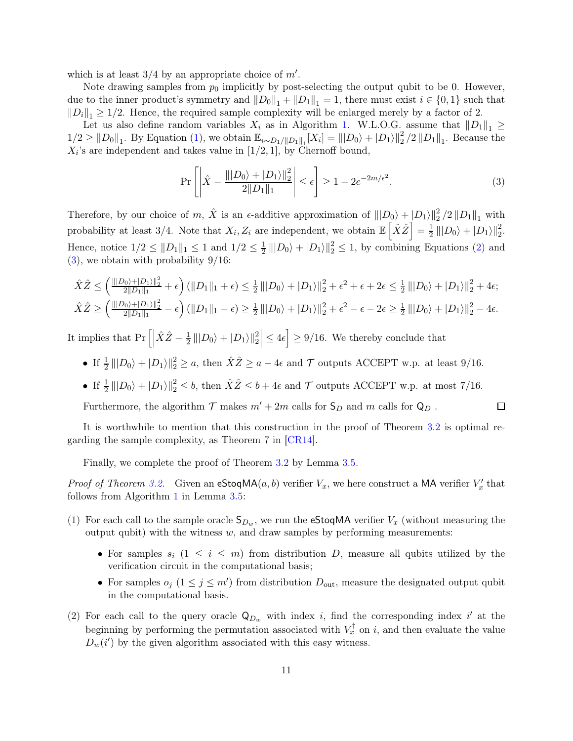which is at least  $3/4$  by an appropriate choice of  $m'$ .

Note drawing samples from  $p_0$  implicitly by post-selecting the output qubit to be 0. However, due to the inner product's symmetry and  $||D_0||_1 + ||D_1||_1 = 1$ , there must exist  $i \in \{0, 1\}$  such that  $||D_i||_1 \geq 1/2$ . Hence, the required sample complexity will be enlarged merely by a factor of 2.

Let us also define random variables  $X_i$  as in Algorithm [1.](#page-9-0) W.L.O.G. assume that  $||D_1||_1 \ge$  $1/2 \geq ||D_0||_1$ . By Equation [\(1\)](#page-9-1), we obtain  $\mathbb{E}_{i \sim D_1/\|D_1\|_1}[X_i] = |||D_0\rangle + |D_1\rangle||_2^2/2||D_1||_1$ . Because the  $X_i$ 's are independent and takes value in [1/2, 1], by Chernoff bound,

<span id="page-10-0"></span>
$$
\Pr\left[\left|\hat{X} - \frac{\||D_0\rangle + |D_1\rangle\|_2^2}{2\|D_1\|_1}\right| \le \epsilon\right] \ge 1 - 2e^{-2m/\epsilon^2}.\tag{3}
$$

 $\Box$ 

Therefore, by our choice of m,  $\hat{X}$  is an  $\epsilon$ -additive approximation of  $||D_0\rangle + |D_1\rangle||_2^2/2||D_1||_1$  with probability at least 3/4. Note that  $X_i, Z_i$  are independent, we obtain  $\mathbb{E} \left[ \hat{X} \hat{Z} \right] = \frac{1}{2}$  $\frac{1}{2}$  |||D<sub>0</sub> $\rangle + |D_1\rangle$ ||<sup>2</sup><sub>2</sub>. Hence, notice  $1/2 \leq ||D_1||_1 \leq 1$  and  $1/2 \leq \frac{1}{2} |||D_0\rangle + |D_1\rangle||_2^2 \leq 1$ , by combining Equations [\(2\)](#page-9-2) and  $(3)$ , we obtain with probability  $9/16$ :

$$
\hat{X}\hat{Z} \le \left(\frac{\||D_0\rangle + |D_1\rangle\|_2^2}{2\|D_1\|_1} + \epsilon\right) \left(\|D_1\|_1 + \epsilon\right) \le \frac{1}{2} \left(\|D_0\rangle + |D_1\rangle\right\|_2^2 + \epsilon^2 + \epsilon + 2\epsilon \le \frac{1}{2} \left(\|D_0\rangle + |D_1\rangle\right\|_2^2 + 4\epsilon;
$$
\n
$$
\hat{X}\hat{Z} \ge \left(\frac{\||D_0\rangle + |D_1\rangle\|_2^2}{2\|D_1\|_1} - \epsilon\right) \left(\|D_1\|_1 - \epsilon\right) \ge \frac{1}{2} \left(\|D_0\rangle + |D_1\rangle\right\|_2^2 + \epsilon^2 - \epsilon - 2\epsilon \ge \frac{1}{2} \left(\|D_0\rangle + |D_1\rangle\right\|_2^2 - 4\epsilon.
$$

It implies that  $Pr\left[\left|\hat{X}\hat{Z}-\frac{1}{2}\right|$  $\frac{1}{2}|||D_0\rangle + |D_1\rangle||_2^2 \le 4\epsilon \le 9/16$ . We thereby conclude that

- If  $\frac{1}{2} \Vert |D_0\rangle + |D_1\rangle \Vert_2^2 \ge a$ , then  $\hat{X}\hat{Z} \ge a 4\epsilon$  and  $\mathcal T$  outputs ACCEPT w.p. at least 9/16.
- If  $\frac{1}{2} \Vert |D_0\rangle + |D_1\rangle \Vert_2^2 \leq b$ , then  $\hat{X}\hat{Z} \leq b + 4\epsilon$  and  $\mathcal{T}$  outputs ACCEPT w.p. at most 7/16.

Furthermore, the algorithm  $\mathcal T$  makes  $m'+2m$  calls for  $\mathsf{S}_D$  and  $m$  calls for  $\mathsf{Q}_D$ .

It is worthwhile to mention that this construction in the proof of Theorem [3.2](#page-8-1) is optimal regarding the sample complexity, as Theorem 7 in [\[CR14\]](#page-19-4).

Finally, we complete the proof of Theorem [3.2](#page-8-1) by Lemma [3.5.](#page-8-3)

*Proof of Theorem [3.2.](#page-8-1)* Given an  $e^{StoqMA(a, b)}$  verifier  $V_x$ , we here construct a MA verifier  $V'_x$  that follows from Algorithm [1](#page-9-0) in Lemma [3.5:](#page-8-3)

- (1) For each call to the sample oracle  $S_{D_w}$ , we run the eStoqMA verifier  $V_x$  (without measuring the output qubit) with the witness  $w$ , and draw samples by performing measurements:
	- For samples  $s_i$   $(1 \leq i \leq m)$  from distribution D, measure all qubits utilized by the verification circuit in the computational basis;
	- For samples  $o_j$   $(1 \le j \le m')$  from distribution  $D_{\text{out}}$ , measure the designated output qubit in the computational basis.
- (2) For each call to the query oracle  $\mathsf{Q}_{D_w}$  with index i, find the corresponding index i' at the beginning by performing the permutation associated with  $V_x^{\dagger}$  on i, and then evaluate the value  $D_w(i')$  by the given algorithm associated with this easy witness.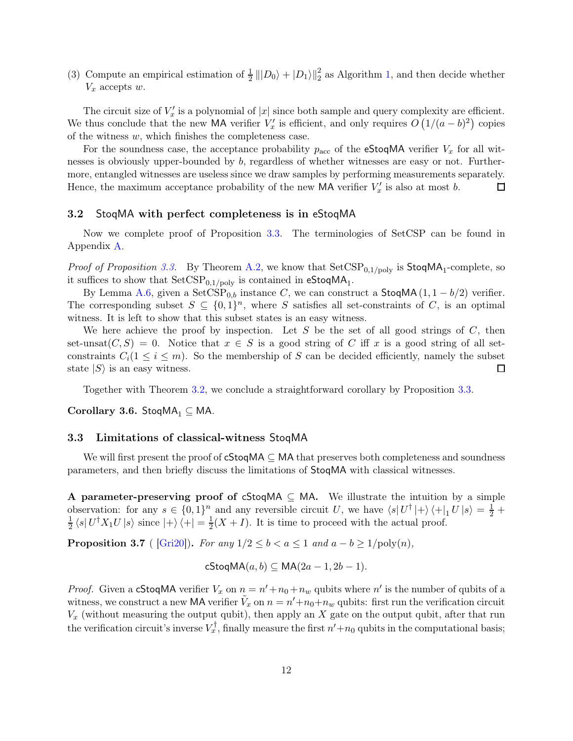(3) Compute an empirical estimation of  $\frac{1}{2}|||D_0\rangle + |D_1\rangle||_2^2$  as Algorithm [1,](#page-9-0) and then decide whether  $V_x$  accepts  $w$ .

The circuit size of  $V'_x$  is a polynomial of  $|x|$  since both sample and query complexity are efficient. We thus conclude that the new MA verifier  $V'_x$  is efficient, and only requires  $O(1/(a-b)^2)$  copies of the witness  $w$ , which finishes the completeness case.

For the soundness case, the acceptance probability  $p_{\text{acc}}$  of the eStoqMA verifier  $V_x$  for all witnesses is obviously upper-bounded by b, regardless of whether witnesses are easy or not. Furthermore, entangled witnesses are useless since we draw samples by performing measurements separately. Hence, the maximum acceptance probability of the new MA verifier  $V'_x$  is also at most b. 囗

#### 3.2 StoqMA with perfect completeness is in eStoqMA

Now we complete proof of Proposition [3.3.](#page-8-2) The terminologies of SetCSP can be found in Appendix [A.](#page-21-1)

*Proof of Proposition [3.3.](#page-8-2)* By Theorem [A.2,](#page-21-4) we know that  $SetCSP_{0,1/poly}$  is  $StoqMA_1$ -complete, so it suffices to show that  $\mathrm{SetCSP}_{0,1/\mathrm{poly}}$  is contained in  $\mathsf{eStoqMA}_1.$ 

By Lemma [A.6,](#page-22-0) given a SetCSP<sub>0,b</sub> instance C, we can construct a StoqMA $(1, 1 - b/2)$  verifier. The corresponding subset  $S \subseteq \{0,1\}^n$ , where S satisfies all set-constraints of C, is an optimal witness. It is left to show that this subset states is an easy witness.

We here achieve the proof by inspection. Let S be the set of all good strings of C, then set-unsat $(C, S) = 0$ . Notice that  $x \in S$  is a good string of C iff x is a good string of all setconstraints  $C_i(1 \leq i \leq m)$ . So the membership of S can be decided efficiently, namely the subset state  $|S\rangle$  is an easy witness. state  $|S\rangle$  is an easy witness.

Together with Theorem [3.2,](#page-8-1) we conclude a straightforward corollary by Proposition [3.3.](#page-8-2)

Corollary 3.6. StoqMA<sub>1</sub>  $\subseteq$  MA.

#### <span id="page-11-0"></span>3.3 Limitations of classical-witness StoqMA

We will first present the proof of  $cStoqMA \subseteq MA$  that preserves both completeness and soundness parameters, and then briefly discuss the limitations of StoqMA with classical witnesses.

A parameter-preserving proof of cStoqMA  $\subseteq$  MA. We illustrate the intuition by a simple observation: for any  $s \in \{0,1\}^n$  and any reversible circuit U, we have  $\langle s|U^{\dagger}|+\rangle \langle +|_1 U|s\rangle = \frac{1}{2} +$ 1  $\frac{1}{2} \langle s | U^{\dagger} X_1 U | s \rangle$  since  $| + \rangle \langle +| = \frac{1}{2}$  $\frac{1}{2}(X+I)$ . It is time to proceed with the actual proof.

<span id="page-11-1"></span>**Proposition 3.7** ( [\[Gri20\]](#page-19-13)). For any  $1/2 \leq b < a \leq 1$  and  $a - b \geq 1/\text{poly}(n)$ ,

$$
\mathsf{cStoqMA}(a,b) \subseteq \mathsf{MA}(2a-1,2b-1).
$$

*Proof.* Given a cStoqMA verifier  $V_x$  on  $n = n' + n_0 + n_w$  qubits where n' is the number of qubits of a witness, we construct a new MA verifier  $\tilde{V}_x$  on  $n = n' + n_0 + n_w$  qubits: first run the verification circuit  $V_x$  (without measuring the output qubit), then apply an X gate on the output qubit, after that run the verification circuit's inverse  $V_x^{\dagger}$ , finally measure the first  $n' + n_0$  qubits in the computational basis;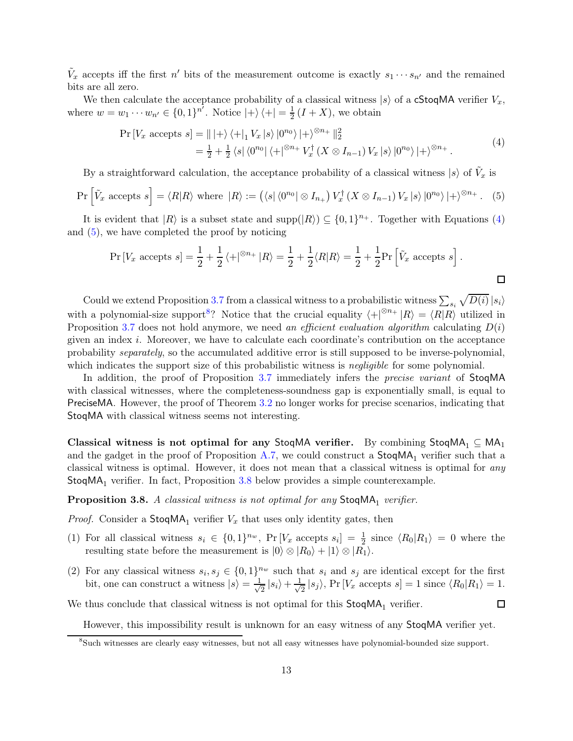$\tilde{V}_x$  accepts iff the first n' bits of the measurement outcome is exactly  $s_1 \cdots s_{n'}$  and the remained bits are all zero.

We then calculate the acceptance probability of a classical witness  $|s\rangle$  of a **cStoqMA** verifier  $V_x$ , where  $w = w_1 \cdots w_{n'} \in \{0, 1\}^{n'}$ . Notice  $|+\rangle \langle +| = \frac{1}{2}$  $\frac{1}{2}(I+X)$ , we obtain

<span id="page-12-1"></span>
$$
\Pr\left[V_x \text{ accepts } s\right] = ||\ket{+}\bra{+}_{1} V_x \ket{s} |0^{n_0}\ket{+}^{\otimes n_+}||_2^2
$$
  
=  $\frac{1}{2} + \frac{1}{2} \bra{s} \bra{0^{n_0}} \bra{+}^{\otimes n_+} V_x^{\dagger} (X \otimes I_{n-1}) V_x \ket{s} |0^{n_0}\ket{+}^{\otimes n_+}.$  (4)

By a straightforward calculation, the acceptance probability of a classical witness  $|s\rangle$  of  $\tilde{V}_x$  is

<span id="page-12-2"></span>
$$
\Pr\left[\tilde{V}_x \text{ accepts } s\right] = \langle R|R\rangle \text{ where } |R\rangle := \left(\langle s|\langle 0^{n_0} | \otimes I_{n_+}\right) V_x^{\dagger} \left(X \otimes I_{n-1}\right) V_x |s\rangle |0^{n_0}\rangle |+\rangle^{\otimes n_+}.
$$
 (5)

It is evident that  $|R\rangle$  is a subset state and supp $(|R\rangle) \subseteq \{0,1\}^{n_+}$ . Together with Equations [\(4\)](#page-12-1) and [\(5\)](#page-12-2), we have completed the proof by noticing

$$
\Pr\left[V_x \text{ accepts } s\right] = \frac{1}{2} + \frac{1}{2} \langle + |^{\otimes n_+} | R \rangle = \frac{1}{2} + \frac{1}{2} \langle R | R \rangle = \frac{1}{2} + \frac{1}{2} \Pr\left[\tilde{V}_x \text{ accepts } s\right].
$$

Could we extend Proposition [3.7](#page-11-1) from a classical witness to a probabilistic witness  $\sum_{s_i} \sqrt{D(i)} |s_i\rangle$ with a polynomial-size support<sup>[8](#page-12-3)</sup>? Notice that the crucial equality  $\langle +|^{ \otimes n_+} |R\rangle = \langle R|R\rangle$  utilized in Proposition [3.7](#page-11-1) does not hold anymore, we need an efficient evaluation algorithm calculating  $D(i)$ given an index i. Moreover, we have to calculate each coordinate's contribution on the acceptance probability separately, so the accumulated additive error is still supposed to be inverse-polynomial, which indicates the support size of this probabilistic witness is *negligible* for some polynomial.

In addition, the proof of Proposition [3.7](#page-11-1) immediately infers the *precise variant* of StogMA with classical witnesses, where the completeness-soundness gap is exponentially small, is equal to PreciseMA. However, the proof of Theorem [3.2](#page-8-1) no longer works for precise scenarios, indicating that StoqMA with classical witness seems not interesting.

Classical witness is not optimal for any StoqMA verifier. By combining StoqMA<sub>1</sub>  $\subseteq$  MA<sub>1</sub> and the gadget in the proof of Proposition [A.7,](#page-22-1) we could construct a  $StoqMA<sub>1</sub>$  verifier such that a classical witness is optimal. However, it does not mean that a classical witness is optimal for any  $StogMA<sub>1</sub>$  verifier. In fact, Proposition [3.8](#page-12-0) below provides a simple counterexample.

# <span id="page-12-0"></span>**Proposition 3.8.** A classical witness is not optimal for any  $StoqMA_1$  verifier.

*Proof.* Consider a  $\text{StoqMA}_1$  verifier  $V_x$  that uses only identity gates, then

- (1) For all classical witness  $s_i \in \{0,1\}^{n_w}$ ,  $\Pr[V_x \text{ accepts } s_i] = \frac{1}{2}$  since  $\langle R_0 | R_1 \rangle = 0$  where the resulting state before the measurement is  $|0\rangle \otimes |R_0\rangle + |1\rangle \otimes |R_1\rangle$ .
- (2) For any classical witness  $s_i, s_j \in \{0,1\}^{n_w}$  such that  $s_i$  and  $s_j$  are identical except for the first bit, one can construct a witness  $|s\rangle = \frac{1}{\sqrt{s}}$  $\frac{1}{2}$   $|s_i\rangle + \frac{1}{\sqrt{2}}$  $\frac{1}{2} |s_j\rangle$ , Pr [ $V_x$  accepts  $s$ ] = 1 since  $\langle R_0|R_1\rangle = 1$ .

We thus conclude that classical witness is not optimal for this  $\mathsf{StoqMA}_1$  verifier.

However, this impossibility result is unknown for an easy witness of any StoqMA verifier yet.

 $\Box$ 

<span id="page-12-3"></span><sup>8</sup>Such witnesses are clearly easy witnesses, but not all easy witnesses have polynomial-bounded size support.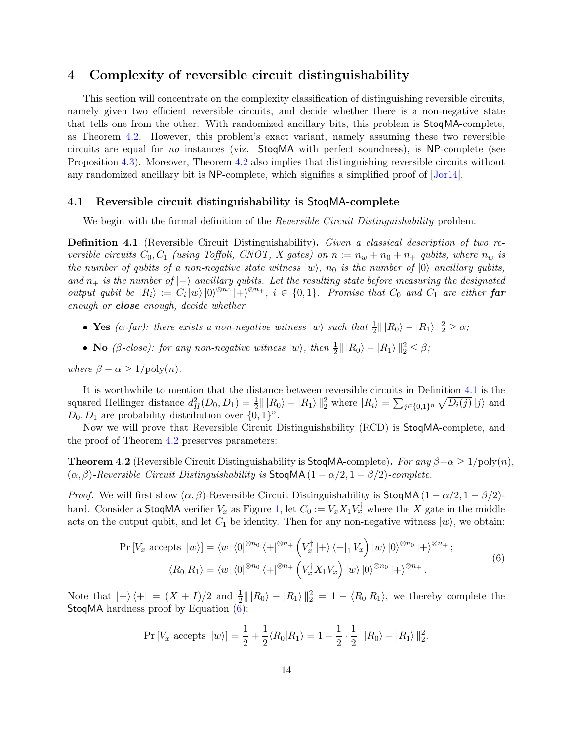# <span id="page-13-1"></span>4 Complexity of reversible circuit distinguishability

This section will concentrate on the complexity classification of distinguishing reversible circuits, namely given two efficient reversible circuits, and decide whether there is a non-negative state that tells one from the other. With randomized ancillary bits, this problem is StoqMA-complete, as Theorem [4.2.](#page-13-0) However, this problem's exact variant, namely assuming these two reversible circuits are equal for no instances (viz. StoqMA with perfect soundness), is NP-complete (see Proposition [4.3\)](#page-14-0). Moreover, Theorem [4.2](#page-13-0) also implies that distinguishing reversible circuits without any randomized ancillary bit is NP-complete, which signifies a simplified proof of [\[Jor14\]](#page-20-5).

#### <span id="page-13-4"></span>4.1 Reversible circuit distinguishability is StoqMA-complete

<span id="page-13-2"></span>We begin with the formal definition of the *Reversible Circuit Distinguishability* problem.

Definition 4.1 (Reversible Circuit Distinguishability). Given a classical description of two reversible circuits  $C_0, C_1$  (using Toffoli, CNOT, X gates) on  $n := n_w + n_0 + n_+$  qubits, where  $n_w$  is the number of qubits of a non-negative state witness  $|w\rangle$ ,  $n_0$  is the number of  $|0\rangle$  ancillary qubits, and  $n_+$  is the number of  $\ket{+}$  ancillary qubits. Let the resulting state before measuring the designated output qubit be  $|R_i\rangle := C_i |w\rangle |0\rangle^{\otimes n_0} |+\rangle^{\otimes n_+}, i \in \{0,1\}.$  Promise that  $C_0$  and  $C_1$  are either **far** enough or close enough, decide whether

- Yes  $(\alpha$ -far): there exists a non-negative witness  $|w\rangle$  such that  $\frac{1}{2}||R_0\rangle |R_1\rangle||_2^2 \ge \alpha$ ;
- No ( $\beta$ -close): for any non-negative witness  $|w\rangle$ , then  $\frac{1}{2}||R_0\rangle |R_1\rangle||_2^2 \leq \beta$ ;

where  $\beta - \alpha \geq 1/\text{poly}(n)$ .

It is worthwhile to mention that the distance between reversible circuits in Definition [4.1](#page-13-2) is the squared Hellinger distance  $d_H^2(D_0, D_1) = \frac{1}{2} ||R_0\rangle - |R_1\rangle||_2^2$  where  $|R_i\rangle = \sum_{j \in \{0,1\}^n} \sqrt{D_i(j)} |j\rangle$  and  $D_0, D_1$  are probability distribution over  $\{0, 1\}^n$ .

<span id="page-13-0"></span>Now we will prove that Reversible Circuit Distinguishability (RCD) is StoqMA-complete, and the proof of Theorem [4.2](#page-13-0) preserves parameters:

**Theorem 4.2** (Reversible Circuit Distinguishability is StoqMA-complete). For any  $\beta - \alpha \geq 1/\text{poly}(n)$ ,  $(\alpha, \beta)$ -Reversible Circuit Distinguishability is StoqMA(1 –  $\alpha/2$ , 1 –  $\beta/2$ )-complete.

*Proof.* We will first show  $(\alpha, \beta)$ -Reversible Circuit Distinguishability is StoqMA(1 –  $\alpha/2$ , 1 –  $\beta/2$ )hard. Consider a StoqMA verifier  $V_x$  as Figure [1,](#page-14-1) let  $C_0 := V_x X_1 V_x^{\dagger}$  where the X gate in the middle acts on the output qubit, and let  $C_1$  be identity. Then for any non-negative witness  $|w\rangle$ , we obtain:

<span id="page-13-3"></span>
$$
\Pr\left[V_x \text{ accepts } |w\rangle\right] = \langle w| \langle 0|^{\otimes n_0} \langle +|^{\otimes n_+} \left(V_x^{\dagger} |+\rangle \langle +|_1 V_x\right) |w\rangle |0\rangle^{\otimes n_0} |+\rangle^{\otimes n_+};
$$
\n
$$
\langle R_0 | R_1 \rangle = \langle w| \langle 0|^{\otimes n_0} \langle +|^{\otimes n_+} \left(V_x^{\dagger} X_1 V_x\right) |w\rangle |0\rangle^{\otimes n_0} |+\rangle^{\otimes n_+}. \tag{6}
$$

Note that  $|+\rangle \langle +| = (X + I)/2$  and  $\frac{1}{2} || R_0 \rangle - |R_1 \rangle ||_2^2 = 1 - \langle R_0 | R_1 \rangle$ , we thereby complete the StoqMA hardness proof by Equation [\(6\)](#page-13-3):

$$
\Pr[V_x \text{ accepts } |w\rangle] = \frac{1}{2} + \frac{1}{2} \langle R_0 | R_1 \rangle = 1 - \frac{1}{2} \cdot \frac{1}{2} || R_0 \rangle - |R_1 \rangle ||_2^2.
$$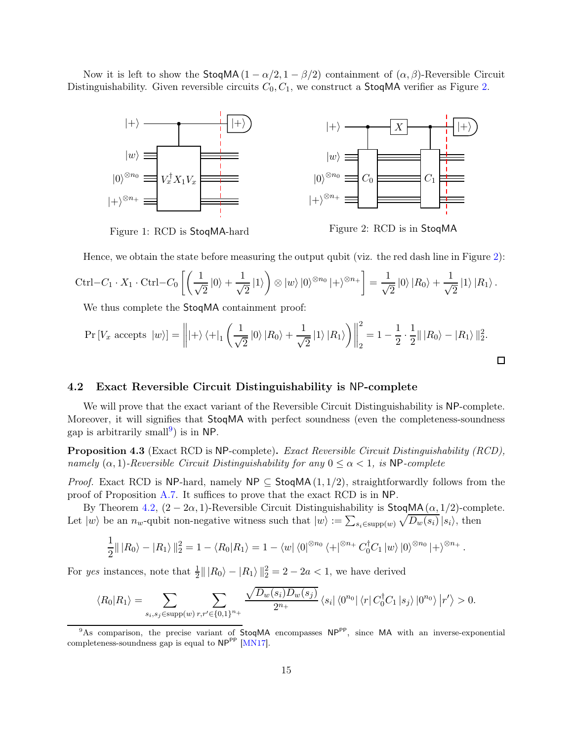Now it is left to show the StoqMA( $1 - \alpha/2$ ,  $1 - \beta/2$ ) containment of  $(\alpha, \beta)$ -Reversible Circuit Distinguishability. Given reversible circuits  $C_0, C_1$ , we construct a StoqMA verifier as Figure [2.](#page-14-2)



<span id="page-14-1"></span>Figure 1: RCD is StoqMA-hard

<span id="page-14-2"></span>Figure 2: RCD is in StoqMA

Hence, we obtain the state before measuring the output qubit (viz. the red dash line in Figure [2\)](#page-14-2):

$$
\operatorname{Ctrl} - C_1 \cdot X_1 \cdot \operatorname{Ctrl} - C_0 \left[ \left( \frac{1}{\sqrt{2}} |0\rangle + \frac{1}{\sqrt{2}} |1\rangle \right) \otimes |w\rangle |0\rangle^{\otimes n_0} |+\rangle^{\otimes n_+} \right] = \frac{1}{\sqrt{2}} |0\rangle |R_0\rangle + \frac{1}{\sqrt{2}} |1\rangle |R_1\rangle.
$$

We thus complete the StoqMA containment proof:

$$
\Pr\left[V_x \text{ accepts } |w\rangle\right] = \left\| |+\rangle \langle +|_1 \left(\frac{1}{\sqrt{2}} |0\rangle |R_0\rangle + \frac{1}{\sqrt{2}} |1\rangle |R_1\rangle\right) \right\|_2^2 = 1 - \frac{1}{2} \cdot \frac{1}{2} ||R_0\rangle - |R_1\rangle ||_2^2.
$$

#### 4.2 Exact Reversible Circuit Distinguishability is NP-complete

We will prove that the exact variant of the Reversible Circuit Distinguishability is NP-complete. Moreover, it will signifies that **StoqMA** with perfect soundness (even the completeness-soundness gap is arbitrarily small<sup>[9](#page-14-3)</sup>) is in NP.

<span id="page-14-0"></span>Proposition 4.3 (Exact RCD is NP-complete). Exact Reversible Circuit Distinguishability (RCD), namely  $(\alpha, 1)$ -Reversible Circuit Distinguishability for any  $0 \leq \alpha < 1$ , is NP-complete

*Proof.* Exact RCD is NP-hard, namely NP  $\subseteq$  StoqMA(1,1/2), straightforwardly follows from the proof of Proposition [A.7.](#page-22-1) It suffices to prove that the exact RCD is in NP.

By Theorem [4.2,](#page-13-0)  $(2 - 2\alpha, 1)$ -Reversible Circuit Distinguishability is StoqMA $(\alpha, 1/2)$ -complete. Let  $|w\rangle$  be an  $n_w$ -qubit non-negative witness such that  $|w\rangle := \sum_{s_i \in \text{supp}(w)} \sqrt{D_w(s_i)} |s_i\rangle$ , then

$$
\frac{1}{2}||R_0\rangle - |R_1\rangle||_2^2 = 1 - \langle R_0|R_1\rangle = 1 - \langle w| \langle 0|^{\otimes n_0} \langle +|^{\otimes n_+} C_0^{\dagger} C_1 |w\rangle |0\rangle^{\otimes n_0} |+\rangle^{\otimes n_+}.
$$

For yes instances, note that  $\frac{1}{2} || |R_0\rangle - |R_1\rangle ||_2^2 = 2 - 2a < 1$ , we have derived

$$
\langle R_0 | R_1 \rangle = \sum_{s_i, s_j \in \text{supp}(w)} \sum_{r, r' \in \{0, 1\}^{n_+}} \frac{\sqrt{D_w(s_i) D_w(s_j)}}{2^{n_+}} \langle s_i | \langle 0^{n_0} | \langle r | C_0^{\dagger} C_1 | s_j \rangle | 0^{n_0} \rangle | r' \rangle > 0.
$$

<span id="page-14-3"></span><sup>&</sup>lt;sup>9</sup>As comparison, the precise variant of StoqMA encompasses NP<sup>PP</sup>, since MA with an inverse-exponential completeness-soundness gap is equal to  $NP^{PP}$  [\[MN17\]](#page-20-6).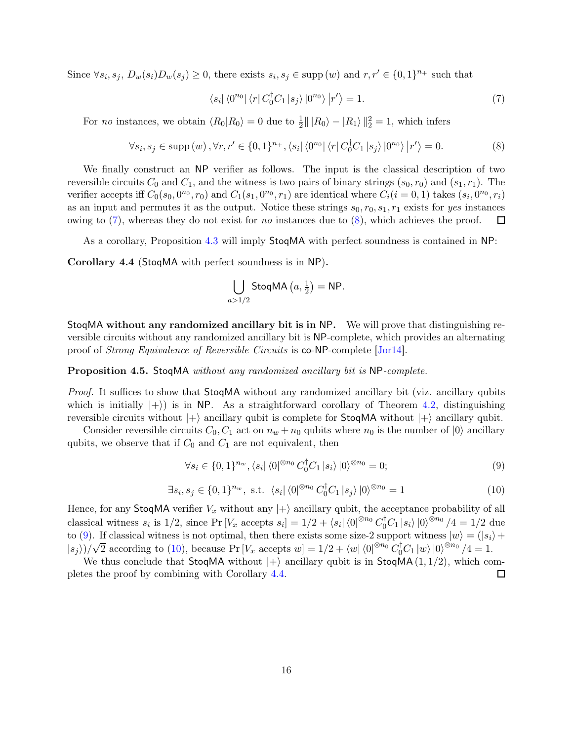Since  $\forall s_i, s_j, D_w(s_i)D_w(s_j) \geq 0$ , there exists  $s_i, s_j \in \text{supp}(w)$  and  $r, r' \in \{0, 1\}^{n_+}$  such that

<span id="page-15-0"></span>
$$
\langle s_i | \langle 0^{n_0} | \langle r | C_0^{\dagger} C_1 | s_j \rangle | 0^{n_0} \rangle | r' \rangle = 1. \tag{7}
$$

For *no* instances, we obtain  $\langle R_0 | R_0 \rangle = 0$  due to  $\frac{1}{2} || |R_0\rangle - |R_1\rangle ||_2^2 = 1$ , which infers

<span id="page-15-1"></span>
$$
\forall s_i, s_j \in \text{supp}(w), \forall r, r' \in \{0, 1\}^{n_+}, \langle s_i | \langle 0^{n_0} | \langle r | C_0^{\dagger} C_1 | s_j \rangle | 0^{n_0} \rangle | r' \rangle = 0. \tag{8}
$$

We finally construct an NP verifier as follows. The input is the classical description of two reversible circuits  $C_0$  and  $C_1$ , and the witness is two pairs of binary strings  $(s_0, r_0)$  and  $(s_1, r_1)$ . The verifier accepts iff  $C_0(s_0, 0^{n_0}, r_0)$  and  $C_1(s_1, 0^{n_0}, r_1)$  are identical where  $C_i(i = 0, 1)$  takes  $(s_i, 0^{n_0}, r_i)$ as an input and permutes it as the output. Notice these strings  $s_0, r_0, s_1, r_1$  exists for yes instances owing to  $(7)$ , whereas they do not exist for no instances due to  $(8)$ , which achieves the proof. □

<span id="page-15-4"></span>As a corollary, Proposition [4.3](#page-14-0) will imply StoqMA with perfect soundness is contained in NP:

Corollary 4.4 (StoqMA with perfect soundness is in NP).

$$
\bigcup_{a>1/2}\text{StoqMA}\left(a,\frac{1}{2}\right) = \text{NP}.
$$

StoqMA without any randomized ancillary bit is in NP. We will prove that distinguishing reversible circuits without any randomized ancillary bit is NP-complete, which provides an alternating proof of Strong Equivalence of Reversible Circuits is co-NP-complete [\[Jor14\]](#page-20-5).

#### Proposition 4.5. StoqMA without any randomized ancillary bit is NP-complete.

Proof. It suffices to show that StoqMA without any randomized ancillary bit (viz. ancillary qubits which is initially  $|+\rangle$  is in NP. As a straightforward corollary of Theorem [4.2,](#page-13-0) distinguishing reversible circuits without  $|+\rangle$  ancillary qubit is complete for StoqMA without  $|+\rangle$  ancillary qubit.

Consider reversible circuits  $C_0, C_1$  act on  $n_w + n_0$  qubits where  $n_0$  is the number of  $|0\rangle$  ancillary qubits, we observe that if  $C_0$  and  $C_1$  are not equivalent, then

<span id="page-15-2"></span>
$$
\forall s_i \in \{0, 1\}^{n_w}, \langle s_i | \langle 0 |^{\otimes n_0} C_0^{\dagger} C_1 | s_i \rangle | 0 \rangle^{\otimes n_0} = 0; \tag{9}
$$

<span id="page-15-3"></span>
$$
\exists s_i, s_j \in \{0, 1\}^{n_w}, \text{ s.t. } \langle s_i | \langle 0 |^{\otimes n_0} C_0^{\dagger} C_1 | s_j \rangle | 0 \rangle^{\otimes n_0} = 1 \tag{10}
$$

Hence, for any StoqMA verifier  $V_x$  without any  $|+\rangle$  ancillary qubit, the acceptance probability of all classical witness  $s_i$  is  $1/2$ , since Pr  $[V_x \text{ accepts } s_i] = 1/2 + \langle s_i | \langle 0 |^{\otimes n_0} C_0^{\dagger} C_1 | s_i \rangle | 0 \rangle^{\otimes n_0} / 4 = 1/2$  due to [\(9\)](#page-15-2). If classical witness is not optimal, then there exists some size-2 support witness  $|w\rangle = (|s_i\rangle +$  $|s_j\rangle/\sqrt{2}$  according to [\(10\)](#page-15-3), because Pr  $[V_x$  accepts  $w] = 1/2 + \langle w | \langle 0 |^{\otimes n_0} C_0^{\dagger} C_1 | w \rangle |0 \rangle^{\otimes n_0}/4 = 1$ .

We thus conclude that **StoqMA** without  $|+\rangle$  ancillary qubit is in **StoqMA**(1, 1/2), which com-<br>tes the proof by combining with Corollary 4.4. pletes the proof by combining with Corollary [4.4.](#page-15-4)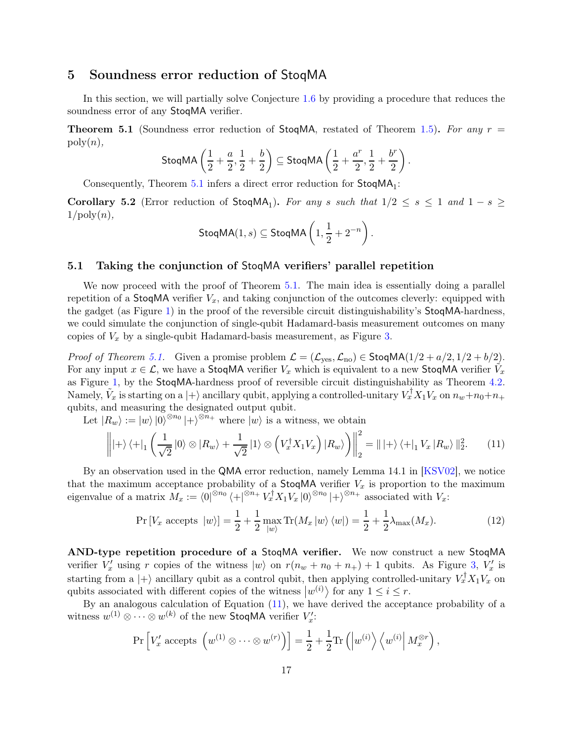## <span id="page-16-0"></span>5 Soundness error reduction of StoqMA

<span id="page-16-1"></span>In this section, we will partially solve Conjecture [1.6](#page-4-1) by providing a procedure that reduces the soundness error of any StoqMA verifier.

**Theorem 5.1** (Soundness error reduction of StoqMA, restated of Theorem [1.5\)](#page-2-2). For any  $r =$  $\mathrm{poly}(n),$ 

$$
\mathsf{StoqMA}\left(\frac{1}{2}+\frac{a}{2},\frac{1}{2}+\frac{b}{2}\right) \subseteq \mathsf{StoqMA}\left(\frac{1}{2}+\frac{a^r}{2},\frac{1}{2}+\frac{b^r}{2}\right).
$$

<span id="page-16-4"></span>Consequently, Theorem  $5.1$  infers a direct error reduction for  $StoqMA<sub>1</sub>$ :

**Corollary 5.2** (Error reduction of  $\text{StoqMA}_1$ ). For any s such that  $1/2 \leq s \leq 1$  and  $1-s \geq$  $1/\text{poly}(n),$ 

$$
\mathsf{StoqMA}(1,s) \subseteq \mathsf{StoqMA}\left(1,\frac{1}{2}+2^{-n}\right).
$$

#### 5.1 Taking the conjunction of StoqMA verifiers' parallel repetition

We now proceed with the proof of Theorem [5.1.](#page-16-1) The main idea is essentially doing a parallel repetition of a StoqMA verifier  $V_x$ , and taking conjunction of the outcomes cleverly: equipped with the gadget (as Figure [1\)](#page-14-1) in the proof of the reversible circuit distinguishability's StoqMA-hardness, we could simulate the conjunction of single-qubit Hadamard-basis measurement outcomes on many copies of  $V_x$  by a single-qubit Hadamard-basis measurement, as Figure [3.](#page-17-0)

*Proof of Theorem [5.1.](#page-16-1)* Given a promise problem  $\mathcal{L} = (\mathcal{L}_{\text{yes}}, \mathcal{L}_{\text{no}}) \in \text{StoqMA}(1/2 + a/2, 1/2 + b/2)$ . For any input  $x \in \mathcal{L}$ , we have a StoqMA verifier  $V_x$  which is equivalent to a new StoqMA verifier  $\tilde{V}_x$ as Figure [1,](#page-14-1) by the StoqMA-hardness proof of reversible circuit distinguishability as Theorem [4.2.](#page-13-0) Namely,  $\tilde{V}_x$  is starting on a  $|+\rangle$  ancillary qubit, applying a controlled-unitary  $V_x^{\dagger} X_1 V_x$  on  $n_w+n_0+n_+$ qubits, and measuring the designated output qubit.

Let  $|R_w\rangle := |w\rangle |0\rangle^{\otimes n_0}|+\rangle^{\otimes n_+}$  where  $|w\rangle$  is a witness, we obtain

<span id="page-16-2"></span>
$$
\left\| \left| + \right\rangle \left\langle + \left|_{1} \left( \frac{1}{\sqrt{2}} \left| 0 \right\rangle \otimes \left| R_{w} \right\rangle + \frac{1}{\sqrt{2}} \left| 1 \right\rangle \otimes \left( V_{x}^{\dagger} X_{1} V_{x} \right) \left| R_{w} \right\rangle \right) \right\|_{2}^{2} = \left| \left| + \right\rangle \left\langle + \left|_{1} V_{x} \left| R_{w} \right\rangle \right\|_{2}^{2}.\tag{11}
$$

By an observation used in the QMA error reduction, namely Lemma 14.1 in [\[KSV02\]](#page-20-9), we notice that the maximum acceptance probability of a StoqMA verifier  $V_x$  is proportion to the maximum eigenvalue of a matrix  $M_x := \langle 0 |^{\otimes n_0} \langle + |^{\otimes n_+} V_x^{\dagger} X_1 V_x | 0 \rangle^{\otimes n_0} | + \rangle^{\otimes n_+}$  associated with  $V_x$ :

<span id="page-16-3"></span>
$$
\Pr\left[V_x \text{ accepts } |w\rangle\right] = \frac{1}{2} + \frac{1}{2} \max_{|w\rangle} \Pr(M_x |w\rangle \langle w|) = \frac{1}{2} + \frac{1}{2} \lambda_{\max}(M_x). \tag{12}
$$

AND-type repetition procedure of a StoqMA verifier. We now construct a new StoqMA verifier  $V'_x$  using r copies of the witness  $|w\rangle$  on  $r(n_w + n_0 + n_+) + 1$  qubits. As Figure [3,](#page-17-0)  $V'_x$  is starting from a  $|+\rangle$  ancillary qubit as a control qubit, then applying controlled-unitary  $V_x^{\dagger} X_1 V_x$  on qubits associated with different copies of the witness  $|w^{(i)}\rangle$  for any  $1 \leq i \leq r$ .

By an analogous calculation of Equation [\(11\)](#page-16-2), we have derived the acceptance probability of a witness  $w^{(1)} \otimes \cdots \otimes w^{(k)}$  of the new StoqMA verifier  $V'_x$ :

$$
\Pr\left[V'_x \text{ accepts } \left(w^{(1)} \otimes \cdots \otimes w^{(r)}\right)\right] = \frac{1}{2} + \frac{1}{2} \text{Tr}\left(\left|w^{(i)}\right\rangle\left\langle w^{(i)}\right| M_x^{\otimes r}\right),\
$$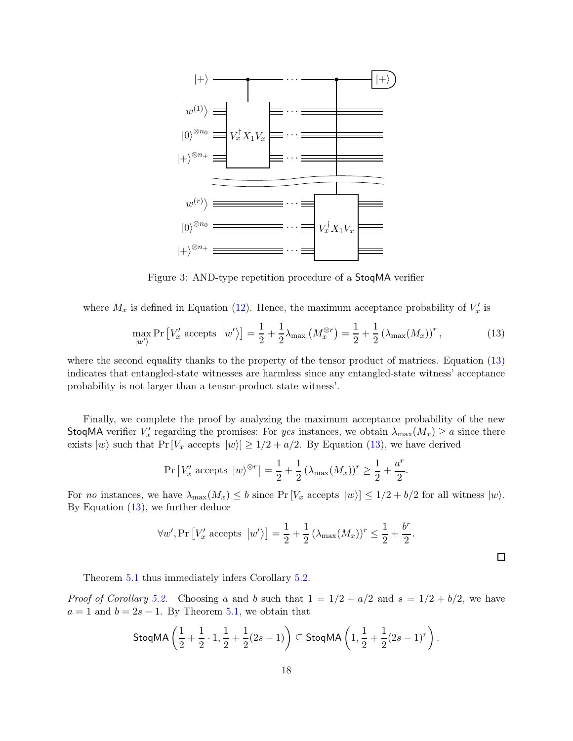

<span id="page-17-0"></span>Figure 3: AND-type repetition procedure of a StoqMA verifier

where  $M_x$  is defined in Equation [\(12\)](#page-16-3). Hence, the maximum acceptance probability of  $V'_x$  is

<span id="page-17-1"></span>
$$
\max_{|w'\rangle} \Pr\left[V_x' \text{ accepts } |w'\rangle\right] = \frac{1}{2} + \frac{1}{2}\lambda_{\max}\left(M_x^{\otimes r}\right) = \frac{1}{2} + \frac{1}{2}\left(\lambda_{\max}(M_x)\right)^r,\tag{13}
$$

where the second equality thanks to the property of the tensor product of matrices. Equation [\(13\)](#page-17-1) indicates that entangled-state witnesses are harmless since any entangled-state witness' acceptance probability is not larger than a tensor-product state witness'.

Finally, we complete the proof by analyzing the maximum acceptance probability of the new StoqMA verifier  $V'_x$  regarding the promises: For yes instances, we obtain  $\lambda_{\max}(M_x) \ge a$  since there exists  $|w\rangle$  such that  $Pr[V_x \text{ accepts } |w\rangle] \ge 1/2 + a/2$ . By Equation [\(13\)](#page-17-1), we have derived

$$
\Pr\left[V'_x \text{ accepts } |w\rangle^{\otimes r}\right] = \frac{1}{2} + \frac{1}{2} \left(\lambda_{\max}(M_x)\right)^r \ge \frac{1}{2} + \frac{a^r}{2}.
$$

For no instances, we have  $\lambda_{\max}(M_x) \leq b$  since  $\Pr[V_x \text{ accepts } |w\rangle] \leq 1/2 + b/2$  for all witness  $|w\rangle$ . By Equation [\(13\)](#page-17-1), we further deduce

$$
\forall w', \Pr\left[V'_x \text{ accepts } |w'\rangle\right] = \frac{1}{2} + \frac{1}{2} \left(\lambda_{\max}(M_x)\right)^r \le \frac{1}{2} + \frac{b^r}{2}.
$$

Theorem [5.1](#page-16-1) thus immediately infers Corollary [5.2.](#page-16-4)

*Proof of Corollary [5.2.](#page-16-4)* Choosing a and b such that  $1 = 1/2 + a/2$  and  $s = 1/2 + b/2$ , we have  $a = 1$  and  $b = 2s - 1$ . By Theorem [5.1,](#page-16-1) we obtain that

StoqMA 
$$
\left(\frac{1}{2} + \frac{1}{2} \cdot 1, \frac{1}{2} + \frac{1}{2}(2s - 1)\right) \subseteq
$$
StoqMA  $\left(1, \frac{1}{2} + \frac{1}{2}(2s - 1)^r\right)$ .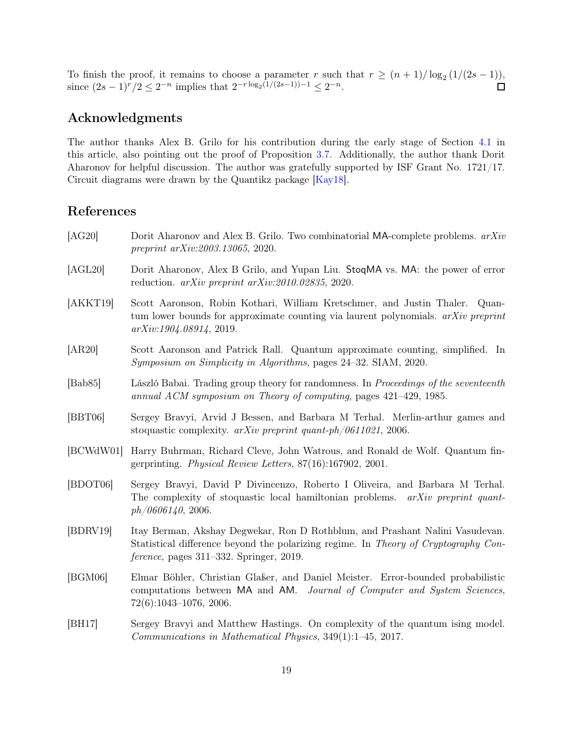To finish the proof, it remains to choose a parameter r such that  $r \ge (n+1)/\log_2(1/(2s-1)),$ since  $(2s-1)^r/2 \leq 2^{-n}$  implies that  $2^{-r \log_2(1/(2s-1))-1} \leq 2^{-n}$ .

# Acknowledgments

The author thanks Alex B. Grilo for his contribution during the early stage of Section [4.1](#page-13-4) in this article, also pointing out the proof of Proposition [3.7.](#page-11-1) Additionally, the author thank Dorit Aharonov for helpful discussion. The author was gratefully supported by ISF Grant No. 1721/17. Circuit diagrams were drawn by the Quantikz package [\[Kay18\]](#page-20-15).

# References

- <span id="page-18-4"></span>[AG20] Dorit Aharonov and Alex B. Grilo. Two combinatorial MA-complete problems.  $arXiv$ preprint arXiv:2003.13065, 2020.
- <span id="page-18-5"></span>[AGL20] Dorit Aharonov, Alex B Grilo, and Yupan Liu. StoqMA vs. MA: the power of error reduction. arXiv preprint arXiv:2010.02835, 2020.
- <span id="page-18-9"></span>[AKKT19] Scott Aaronson, Robin Kothari, William Kretschmer, and Justin Thaler. Quantum lower bounds for approximate counting via laurent polynomials.  $arXiv$  preprint arXiv:1904.08914, 2019.
- <span id="page-18-8"></span>[AR20] Scott Aaronson and Patrick Rall. Quantum approximate counting, simplified. In Symposium on Simplicity in Algorithms, pages 24–32. SIAM, 2020.
- <span id="page-18-1"></span>[Bab85] László Babai. Trading group theory for randomness. In Proceedings of the seventeenth annual ACM symposium on Theory of computing, pages 421–429, 1985.
- <span id="page-18-0"></span>[BBT06] Sergey Bravyi, Arvid J Bessen, and Barbara M Terhal. Merlin-arthur games and stoquastic complexity. arXiv preprint quant-ph/0611021, 2006.
- <span id="page-18-7"></span>[BCWdW01] Harry Buhrman, Richard Cleve, John Watrous, and Ronald de Wolf. Quantum fingerprinting. Physical Review Letters, 87(16):167902, 2001.
- <span id="page-18-2"></span>[BDOT06] Sergey Bravyi, David P Divincenzo, Roberto I Oliveira, and Barbara M Terhal. The complexity of stoquastic local hamiltonian problems. *arXiv preprint quant* $ph/0606140, 2006.$
- <span id="page-18-10"></span>[BDRV19] Itay Berman, Akshay Degwekar, Ron D Rothblum, and Prashant Nalini Vasudevan. Statistical difference beyond the polarizing regime. In Theory of Cryptography Conference, pages 311–332. Springer, 2019.
- <span id="page-18-6"></span>[BGM06] Elmar Böhler, Christian Glaßer, and Daniel Meister. Error-bounded probabilistic computations between MA and AM. Journal of Computer and System Sciences, 72(6):1043–1076, 2006.
- <span id="page-18-3"></span>[BH17] Sergey Bravyi and Matthew Hastings. On complexity of the quantum ising model. Communications in Mathematical Physics, 349(1):1–45, 2017.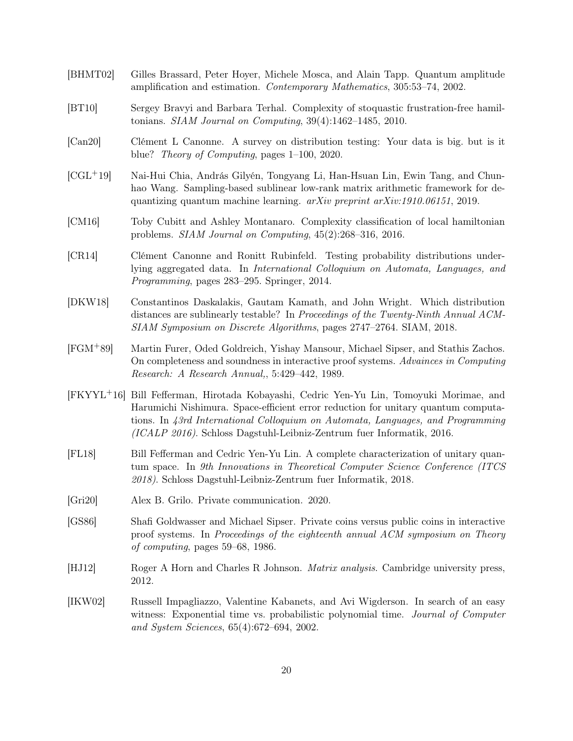- <span id="page-19-6"></span>[BHMT02] Gilles Brassard, Peter Hoyer, Michele Mosca, and Alain Tapp. Quantum amplitude amplification and estimation. Contemporary Mathematics, 305:53–74, 2002.
- <span id="page-19-0"></span>[BT10] Sergey Bravyi and Barbara Terhal. Complexity of stoquastic frustration-free hamiltonians. SIAM Journal on Computing, 39(4):1462–1485, 2010.
- <span id="page-19-10"></span>[Can20] Clément L Canonne. A survey on distribution testing: Your data is big. but is it blue? Theory of Computing, pages 1–100, 2020.
- <span id="page-19-5"></span>[CGL+19] Nai-Hui Chia, András Gilyén, Tongyang Li, Han-Hsuan Lin, Ewin Tang, and Chunhao Wang. Sampling-based sublinear low-rank matrix arithmetic framework for dequantizing quantum machine learning. arXiv preprint arXiv:1910.06151, 2019.
- <span id="page-19-1"></span>[CM16] Toby Cubitt and Ashley Montanaro. Complexity classification of local hamiltonian problems. SIAM Journal on Computing, 45(2):268–316, 2016.
- <span id="page-19-4"></span>[CR14] Clément Canonne and Ronitt Rubinfeld. Testing probability distributions underlying aggregated data. In International Colloquium on Automata, Languages, and Programming, pages 283–295. Springer, 2014.
- <span id="page-19-11"></span>[DKW18] Constantinos Daskalakis, Gautam Kamath, and John Wright. Which distribution distances are sublinearly testable? In Proceedings of the Twenty-Ninth Annual ACM-SIAM Symposium on Discrete Algorithms, pages 2747–2764. SIAM, 2018.
- <span id="page-19-3"></span>[FGM+89] Martin Furer, Oded Goldreich, Yishay Mansour, Michael Sipser, and Stathis Zachos. On completeness and soundness in interactive proof systems. Advainces in Computing Research: A Research Annual,, 5:429–442, 1989.
- <span id="page-19-7"></span>[FKYYL+16] Bill Fefferman, Hirotada Kobayashi, Cedric Yen-Yu Lin, Tomoyuki Morimae, and Harumichi Nishimura. Space-efficient error reduction for unitary quantum computations. In 43rd International Colloquium on Automata, Languages, and Programming (ICALP 2016). Schloss Dagstuhl-Leibniz-Zentrum fuer Informatik, 2016.
- <span id="page-19-8"></span>[FL18] Bill Fefferman and Cedric Yen-Yu Lin. A complete characterization of unitary quantum space. In 9th Innovations in Theoretical Computer Science Conference (ITCS 2018). Schloss Dagstuhl-Leibniz-Zentrum fuer Informatik, 2018.
- <span id="page-19-13"></span>[Gri20] Alex B. Grilo. Private communication. 2020.
- <span id="page-19-2"></span>[GS86] Shafi Goldwasser and Michael Sipser. Private coins versus public coins in interactive proof systems. In Proceedings of the eighteenth annual ACM symposium on Theory of computing, pages 59–68, 1986.
- <span id="page-19-9"></span>[HJ12] Roger A Horn and Charles R Johnson. Matrix analysis. Cambridge university press, 2012.
- <span id="page-19-12"></span>[IKW02] Russell Impagliazzo, Valentine Kabanets, and Avi Wigderson. In search of an easy witness: Exponential time vs. probabilistic polynomial time. *Journal of Computer* and System Sciences, 65(4):672–694, 2002.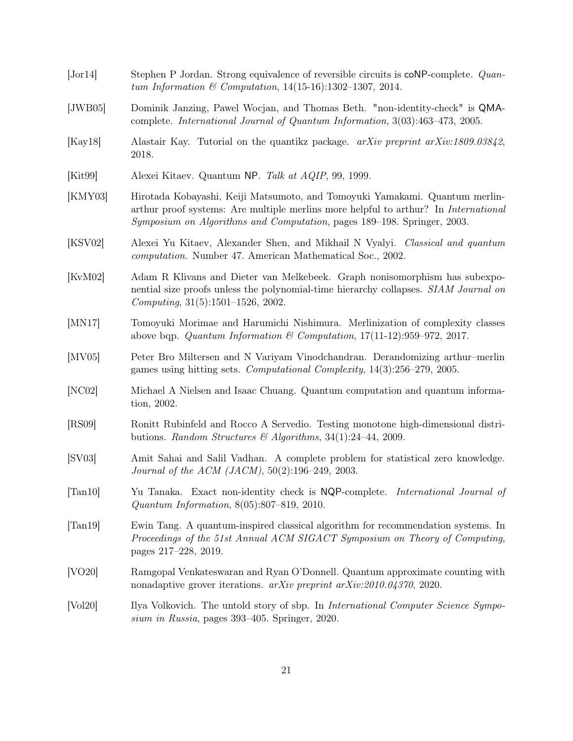<span id="page-20-15"></span><span id="page-20-14"></span><span id="page-20-13"></span><span id="page-20-12"></span><span id="page-20-11"></span><span id="page-20-10"></span><span id="page-20-9"></span><span id="page-20-8"></span><span id="page-20-7"></span><span id="page-20-6"></span><span id="page-20-5"></span><span id="page-20-4"></span><span id="page-20-3"></span><span id="page-20-2"></span><span id="page-20-1"></span><span id="page-20-0"></span>

| $\left[ \text{Jor}14\right]$  | Stephen P Jordan. Strong equivalence of reversible circuits is coNP-complete. Quan-<br>tum Information & Computation, $14(15-16):1302-1307$ , 2014.                                                                                                  |
|-------------------------------|------------------------------------------------------------------------------------------------------------------------------------------------------------------------------------------------------------------------------------------------------|
| [JWB05]                       | Dominik Janzing, Pawel Wocjan, and Thomas Beth. "non-identity-check" is QMA-<br>complete. International Journal of Quantum Information, 3(03):463-473, 2005.                                                                                         |
| [Kay18]                       | Alastair Kay. Tutorial on the quantikz package. arXiv preprint arXiv:1809.03842,<br>2018.                                                                                                                                                            |
| [Kit99]                       | Alexei Kitaev. Quantum NP. Talk at AQIP, 99, 1999.                                                                                                                                                                                                   |
| [KMY03]                       | Hirotada Kobayashi, Keiji Matsumoto, and Tomoyuki Yamakami. Quantum merlin-<br>arthur proof systems: Are multiple merlins more helpful to arthur? In <i>International</i><br>Symposium on Algorithms and Computation, pages 189–198. Springer, 2003. |
| [KSVO2]                       | Alexei Yu Kitaev, Alexander Shen, and Mikhail N Vyalyi. Classical and quantum<br><i>computation.</i> Number 47. American Mathematical Soc., 2002.                                                                                                    |
| [KvM02]                       | Adam R Klivans and Dieter van Melkebeek. Graph nonisomorphism has subexpo-<br>nential size proofs unless the polynomial-time hierarchy collapses. SIAM Journal on<br>Computing, 31(5):1501-1526, 2002.                                               |
| [MN17]                        | Tomoyuki Morimae and Harumichi Nishimura. Merlinization of complexity classes<br>above bqp. Quantum Information & Computation, $17(11-12):959-972$ , $2017$ .                                                                                        |
| [MV05]                        | Peter Bro Miltersen and N Variyam Vinodchandran. Derandomizing arthur-merlin<br>games using hitting sets. Computational Complexity, $14(3):256-279$ , 2005.                                                                                          |
| [NC02]                        | Michael A Nielsen and Isaac Chuang. Quantum computation and quantum informa-<br>tion, 2002.                                                                                                                                                          |
| [RS09]                        | Ronitt Rubinfeld and Rocco A Servedio. Testing monotone high-dimensional distri-<br>butions. Random Structures & Algorithms, 34(1):24-44, 2009.                                                                                                      |
| [SV03]                        | Amit Sahai and Salil Vadhan. A complete problem for statistical zero knowledge.<br><i>Journal of the ACM (JACM)</i> , $50(2):196-249$ , 2003.                                                                                                        |
| $\left[\text{Tan}10\right]$   | Yu Tanaka. Exact non-identity check is NQP-complete. International Journal of<br>Quantum Information, $8(05):807-819$ , 2010.                                                                                                                        |
| $\lceil \text{Tan} 19 \rceil$ | Ewin Tang. A quantum-inspired classical algorithm for recommendation systems. In<br>Proceedings of the 51st Annual ACM SIGACT Symposium on Theory of Computing,<br>pages 217-228, 2019.                                                              |
| [VO20]                        | Ramgopal Venkateswaran and Ryan O'Donnell. Quantum approximate counting with<br>nonadaptive grover iterations. arXiv preprint arXiv:2010.04370, 2020.                                                                                                |
| [Vol20]                       | Ilya Volkovich. The untold story of sbp. In <i>International Computer Science Sympo</i> -<br>sium in Russia, pages 393-405. Springer, 2020.                                                                                                          |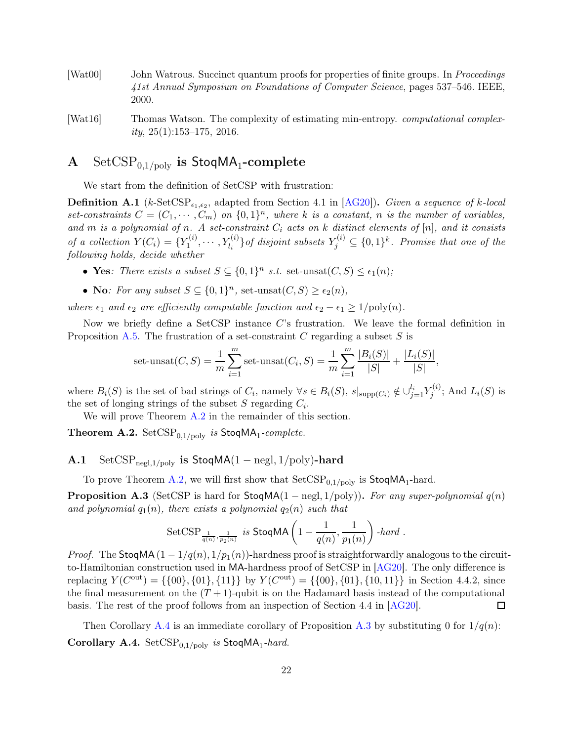- <span id="page-21-2"></span>[Wat00] John Watrous. Succinct quantum proofs for properties of finite groups. In *Proceedings* 41st Annual Symposium on Foundations of Computer Science, pages 537–546. IEEE, 2000.
- <span id="page-21-0"></span>[Wat16] Thomas Watson. The complexity of estimating min-entropy. *computational complex* $ity, 25(1):153-175, 2016.$

# <span id="page-21-1"></span> $\mathbf A$   $\quad \mathrm{SetCSP}_{0,1/\mathrm{poly}}$  is  $\mathsf{StoqMA}_1\text{-complete}$

<span id="page-21-3"></span>We start from the definition of SetCSP with frustration:

**Definition A.1** ( $k$ -SetCSP<sub> $\epsilon_1, \epsilon_2$ , adapted from Section 4.1 in [\[AG20\]](#page-18-4)). Given a sequence of k-local</sub> set-constraints  $C = (C_1, \dots, C_m)$  on  $\{0, 1\}^n$ , where k is a constant, n is the number of variables, and m is a polynomial of n. A set-constraint  $C_i$  acts on k distinct elements of [n], and it consists of a collection  $Y(C_i) = \{Y_1^{(i)}\}$  $\{Y^{(i)}_1, \cdots, Y^{(i)}_{l_i}\}$  of disjoint subsets  $Y^{(i)}_j \subseteq \{0,1\}^k$ . Promise that one of the following holds, decide whether

- Yes: There exists a subset  $S \subseteq \{0,1\}^n$  s.t. set-unsat $(C, S) \leq \epsilon_1(n)$ ;
- No: For any subset  $S \subseteq \{0,1\}^n$ , set-unsat $(C, S) \ge \epsilon_2(n)$ ,

where  $\epsilon_1$  and  $\epsilon_2$  are efficiently computable function and  $\epsilon_2 - \epsilon_1 \geq 1/\text{poly}(n)$ .

Now we briefly define a SetCSP instance C's frustration. We leave the formal definition in Proposition [A.5.](#page-22-2) The frustration of a set-constraint  $C$  regarding a subset  $S$  is

set-unsat
$$
(C, S) = \frac{1}{m} \sum_{i=1}^{m} \text{set-unsat}(C_i, S) = \frac{1}{m} \sum_{i=1}^{m} \frac{|B_i(S)|}{|S|} + \frac{|L_i(S)|}{|S|},
$$

where  $B_i(S)$  is the set of bad strings of  $C_i$ , namely  $\forall s \in B_i(S)$ ,  $s|_{\text{supp}(C_i)} \notin \bigcup_{j=1}^{l_i} Y_j^{(i)}$  $j^{(i)}$ ; And  $L_i(S)$  is the set of longing strings of the subset  $S$  regarding  $C_i$ .

<span id="page-21-4"></span>We will prove Theorem [A.2](#page-21-4) in the remainder of this section.

**Theorem A.2.** SetCSP<sub>0,1/poly</sub> is StoqMA<sub>1</sub>-complete.

A.1 SetCSP<sub>negl,1/poly</sub> is StoqMA(1 – negl, 1/poly)-hard

<span id="page-21-6"></span>To prove Theorem [A.2,](#page-21-4) we will first show that  $SetCSP_{0,1/poly}$  is  $StoqMA<sub>1</sub>$ -hard.

**Proposition A.3** (SetCSP is hard for  $\text{StoqMA}(1 - negl, 1/poly)$ ). For any super-polynomial  $q(n)$ and polynomial  $q_1(n)$ , there exists a polynomial  $q_2(n)$  such that

SetCSP<sub>$$
\frac{1}{q(n)}
$$</sub>,  $\frac{1}{p_2(n)}$  is **StoqMA**  $\left(1 - \frac{1}{q(n)}, \frac{1}{p_1(n)}\right)$ -hard.

*Proof.* The StoqMA  $(1 - 1/q(n), 1/p_1(n))$ -hardness proof is straightforwardly analogous to the circuitto-Hamiltonian construction used in MA-hardness proof of SetCSP in [\[AG20\]](#page-18-4). The only difference is replacing  $Y(C^{out}) = \{\{00\}, \{01\}, \{11\}\}\$  by  $Y(C^{out}) = \{\{00\}, \{01\}, \{10, 11\}\}\$  in Section 4.4.2, since the final measurement on the  $(T + 1)$ -qubit is on the Hadamard basis instead of the computational basis. The rest of the proof follows from an inspection of Section 4.4 in [\[AG20\]](#page-18-4).  $\Box$ 

<span id="page-21-5"></span>Then Corollary [A.4](#page-21-5) is an immediate corollary of Proposition [A.3](#page-21-6) by substituting 0 for  $1/q(n)$ : Corollary A.4.  $SetCSP_{0,1/poly}$  is StoqMA<sub>1</sub>-hard.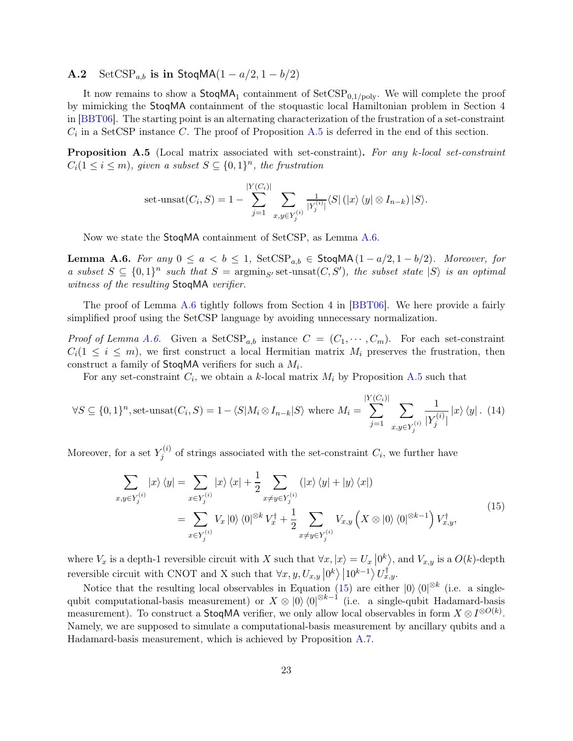A.2 SetCSP<sub>a,b</sub> is in StoqMA $(1 - a/2, 1 - b/2)$ 

It now remains to show a  $\mathsf{StoqMA}_1$  containment of  $\mathsf{SetCSP}_{0,1/\mathrm{poly}}.$  We will complete the proof by mimicking the StoqMA containment of the stoquastic local Hamiltonian problem in Section 4 in [\[BBT06\]](#page-18-0). The starting point is an alternating characterization of the frustration of a set-constraint  $C_i$  in a SetCSP instance C. The proof of Proposition [A.5](#page-22-2) is deferred in the end of this section.

<span id="page-22-2"></span>**Proposition A.5** (Local matrix associated with set-constraint). For any k-local set-constraint  $C_i(1 \leq i \leq m)$ , given a subset  $S \subseteq \{0,1\}^n$ , the frustration

set-unsat
$$
(C_i, S) = 1 - \sum_{j=1}^{|Y(C_i)|} \sum_{x,y \in Y_j^{(i)}} \frac{1}{|Y_j^{(i)}|} \langle S | (x \rangle \langle y | \otimes I_{n-k}) | S \rangle
$$
.

<span id="page-22-0"></span>Now we state the StoqMA containment of SetCSP, as Lemma [A.6.](#page-22-0)

**Lemma A.6.** For any  $0 \le a < b \le 1$ , SetCSP<sub>a,b</sub>  $\in$  StoqMA $(1 - a/2, 1 - b/2)$ . Moreover, for a subset  $S \subseteq \{0,1\}^n$  such that  $S = \operatorname{argmin}_{S'} \operatorname{set-unsat}(C, S')$ , the subset state  $|S\rangle$  is an optimal witness of the resulting StoqMA verifier.

The proof of Lemma [A.6](#page-22-0) tightly follows from Section 4 in [\[BBT06\]](#page-18-0). We here provide a fairly simplified proof using the SetCSP language by avoiding unnecessary normalization.

*Proof of Lemma [A.6.](#page-22-0)* Given a SetCSP<sub>a,b</sub> instance  $C = (C_1, \dots, C_m)$ . For each set-constraint  $C_i(1 \leq i \leq m)$ , we first construct a local Hermitian matrix  $M_i$  preserves the frustration, then construct a family of  $\mathsf{StoqMA}$  verifiers for such a  $M_i$ .

For any set-constraint  $C_i$ , we obtain a k-local matrix  $M_i$  by Proposition [A.5](#page-22-2) such that

<span id="page-22-4"></span>
$$
\forall S \subseteq \{0,1\}^n, \text{set-unsat}(C_i, S) = 1 - \langle S | M_i \otimes I_{n-k} | S \rangle \text{ where } M_i = \sum_{j=1}^{|Y(C_i)|} \sum_{x,y \in Y_j^{(i)}} \frac{1}{|Y_j^{(i)}|} |x\rangle \langle y|.
$$
 (14)

Moreover, for a set  $Y_i^{(i)}$  $f_j^{(i)}$  of strings associated with the set-constraint  $C_i$ , we further have

<span id="page-22-3"></span>
$$
\sum_{x,y \in Y_j^{(i)}} |x\rangle \langle y| = \sum_{x \in Y_j^{(i)}} |x\rangle \langle x| + \frac{1}{2} \sum_{x \neq y \in Y_j^{(i)}} (|x\rangle \langle y| + |y\rangle \langle x|)
$$
\n
$$
= \sum_{x \in Y_j^{(i)}} V_x |0\rangle \langle 0|^{\otimes k} V_x^{\dagger} + \frac{1}{2} \sum_{x \neq y \in Y_j^{(i)}} V_{x,y} \left(X \otimes |0\rangle \langle 0|^{\otimes k-1}\right) V_{x,y}^{\dagger},\tag{15}
$$

where  $V_x$  is a depth-1 reversible circuit with X such that  $\forall x, |x\rangle = U_x |0^k\rangle$ , and  $V_{x,y}$  is a  $O(k)$ -depth reversible circuit with CNOT and X such that  $\forall x, y, U_{x,y} \left| 0^k \right\rangle \left| 10^{k-1} \right\rangle U_{x,y}^{\dagger}$ .

<span id="page-22-1"></span>Notice that the resulting local observables in Equation [\(15\)](#page-22-3) are either  $|0\rangle \langle 0|^{\otimes k}$  (i.e. a singlequbit computational-basis measurement) or  $X \otimes |0\rangle\langle 0|^{\otimes k-1}$  (i.e. a single-qubit Hadamard-basis measurement). To construct a **StoqMA** verifier, we only allow local observables in form  $X \otimes I^{\otimes O(k)}$ . Namely, we are supposed to simulate a computational-basis measurement by ancillary qubits and a Hadamard-basis measurement, which is achieved by Proposition [A.7.](#page-22-1)